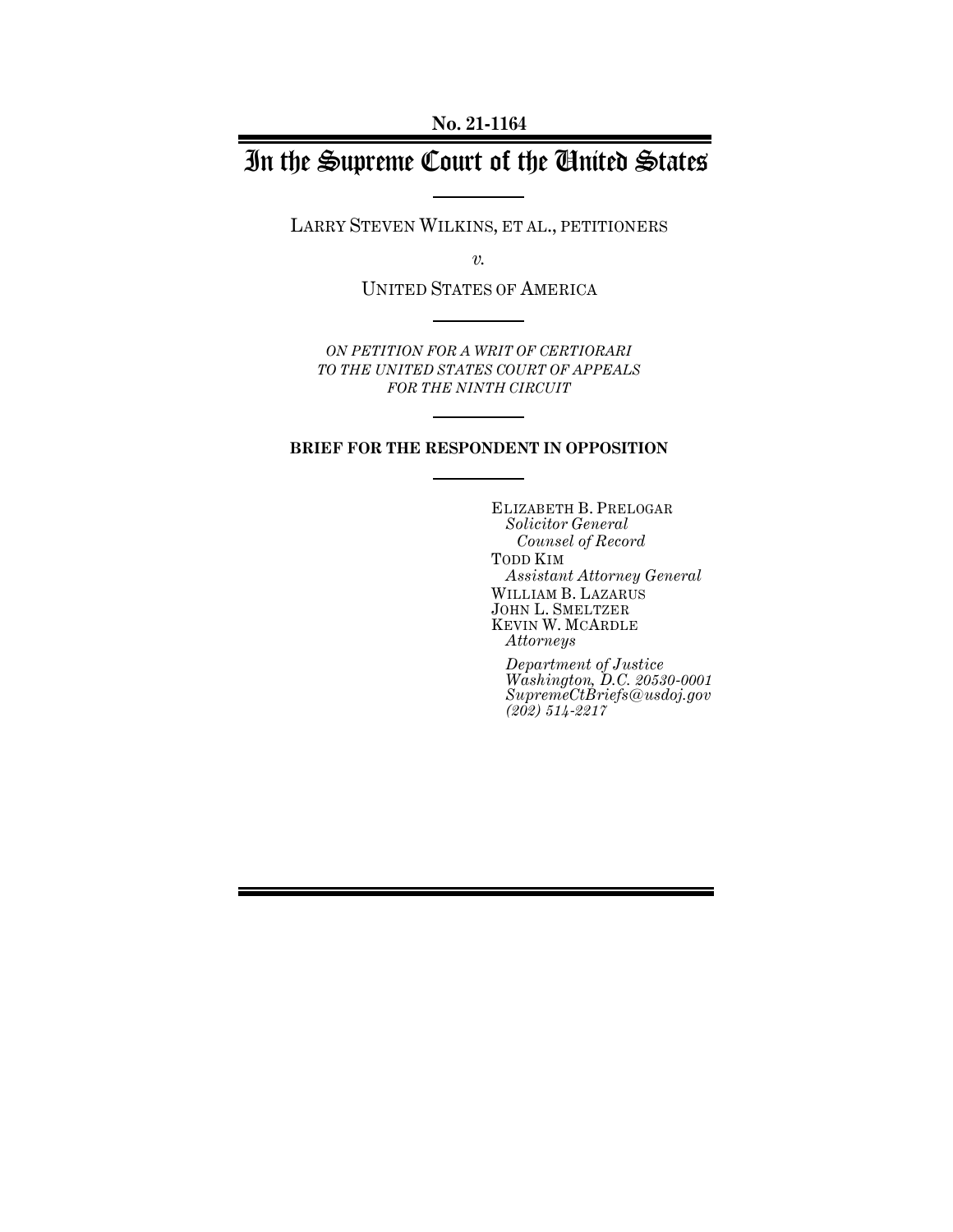# In the Supreme Court of the United States

LARRY STEVEN WILKINS, ET AL., PETITIONERS

*v.*

UNITED STATES OF AMERICA

*ON PETITION FOR A WRIT OF CERTIORARI TO THE UNITED STATES COURT OF APPEALS FOR THE NINTH CIRCUIT*

### **BRIEF FOR THE RESPONDENT IN OPPOSITION**

ELIZABETH B. PRELOGAR *Solicitor General Counsel of Record* TODD KIM *Assistant Attorney General* WILLIAM B. LAZARUS JOHN L. SMELTZER KEVIN W. MCARDLE *Attorneys*

*Department of Justice Washington, D.C. 20530-0001 SupremeCtBriefs@usdoj.gov (202) 514-2217*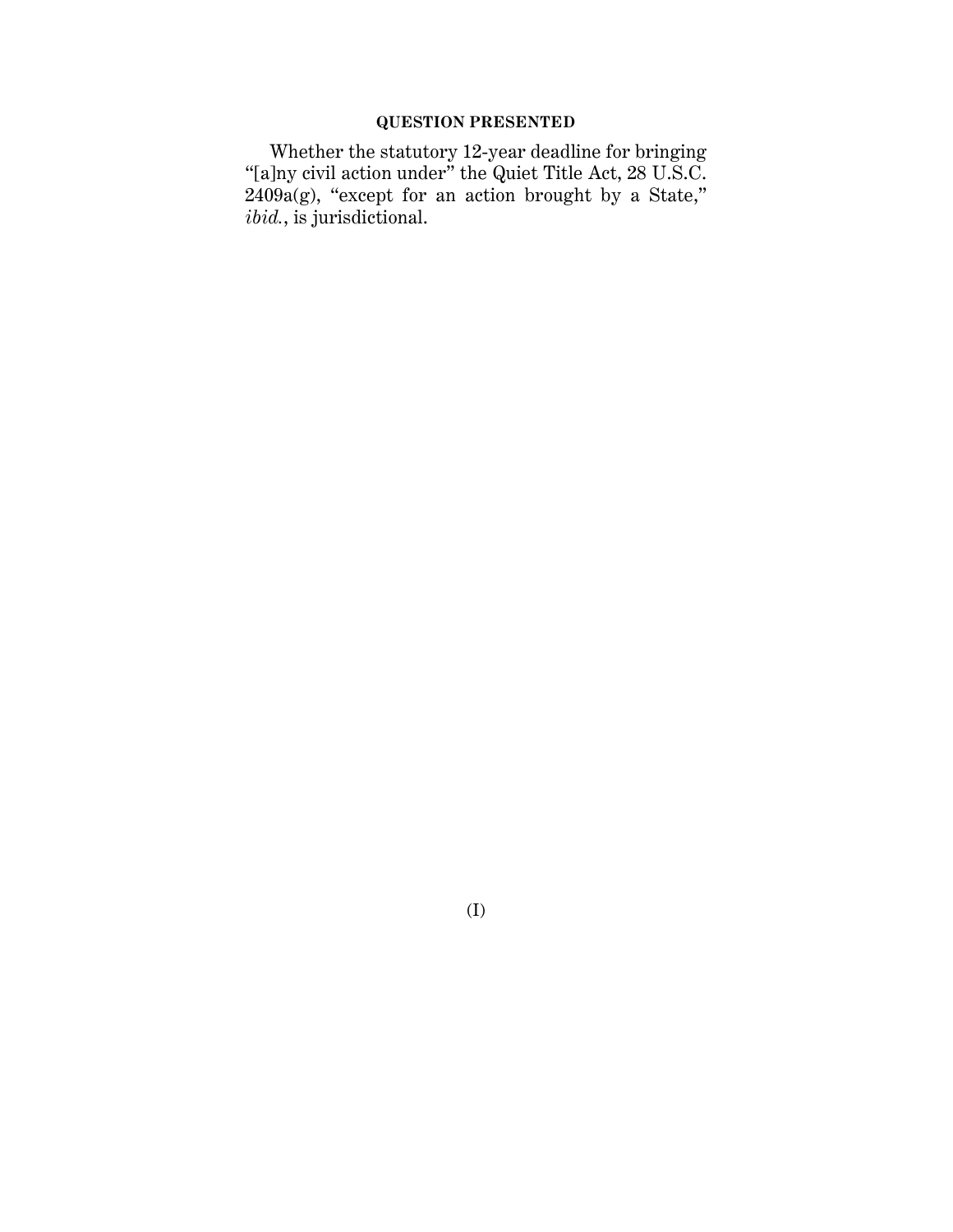### **QUESTION PRESENTED**

Whether the statutory 12-year deadline for bringing "[a]ny civil action under" the Quiet Title Act, 28 U.S.C. 2409a(g), "except for an action brought by a State," *ibid.*, is jurisdictional.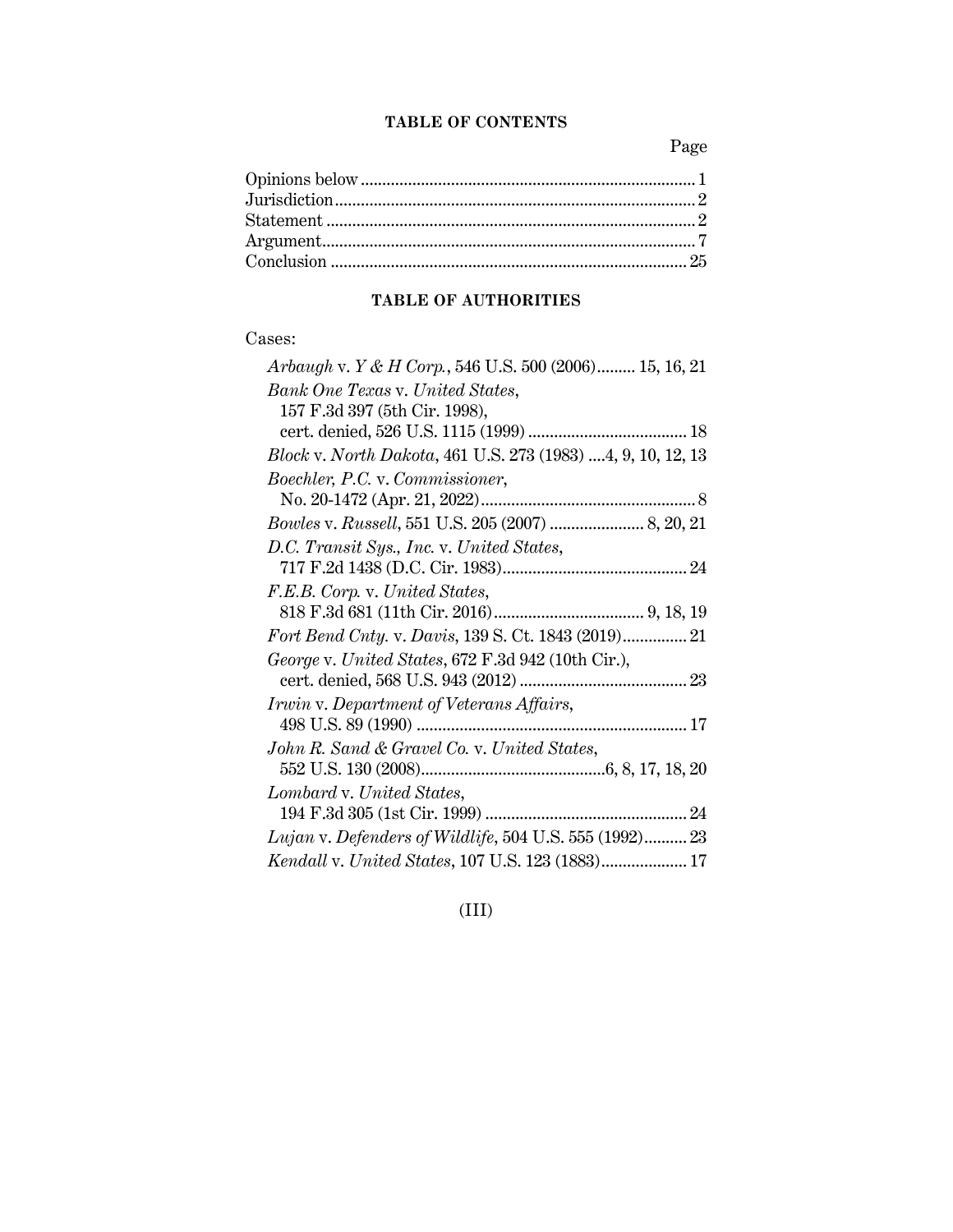## **TABLE OF CONTENTS**

Page

# **TABLE OF AUTHORITIES**

# Cases:

| <i>Arbaugh v. Y &amp; H Corp.</i> , 546 U.S. 500 (2006) 15, 16, 21 |
|--------------------------------------------------------------------|
| Bank One Texas v. United States,                                   |
| 157 F.3d 397 (5th Cir. 1998),                                      |
|                                                                    |
| Block v. North Dakota, 461 U.S. 273 (1983) 4, 9, 10, 12, 13        |
| Boechler, P.C. v. Commissioner,                                    |
|                                                                    |
| Bowles v. Russell, 551 U.S. 205 (2007)  8, 20, 21                  |
| D.C. Transit Sys., Inc. v. United States,                          |
|                                                                    |
| F.E.B. Corp. v. United States,                                     |
|                                                                    |
| Fort Bend Cnty. v. Davis, 139 S. Ct. 1843 (2019) 21                |
| George v. United States, 672 F.3d 942 (10th Cir.),                 |
|                                                                    |
| <i>Irwin</i> v. Department of Veterans Affairs,                    |
|                                                                    |
| John R. Sand & Gravel Co. v. United States,                        |
|                                                                    |
| Lombard v. United States,                                          |
|                                                                    |
| Lujan v. Defenders of Wildlife, 504 U.S. 555 (1992) 23             |
| Kendall v. United States, 107 U.S. 123 (1883) 17                   |

(III)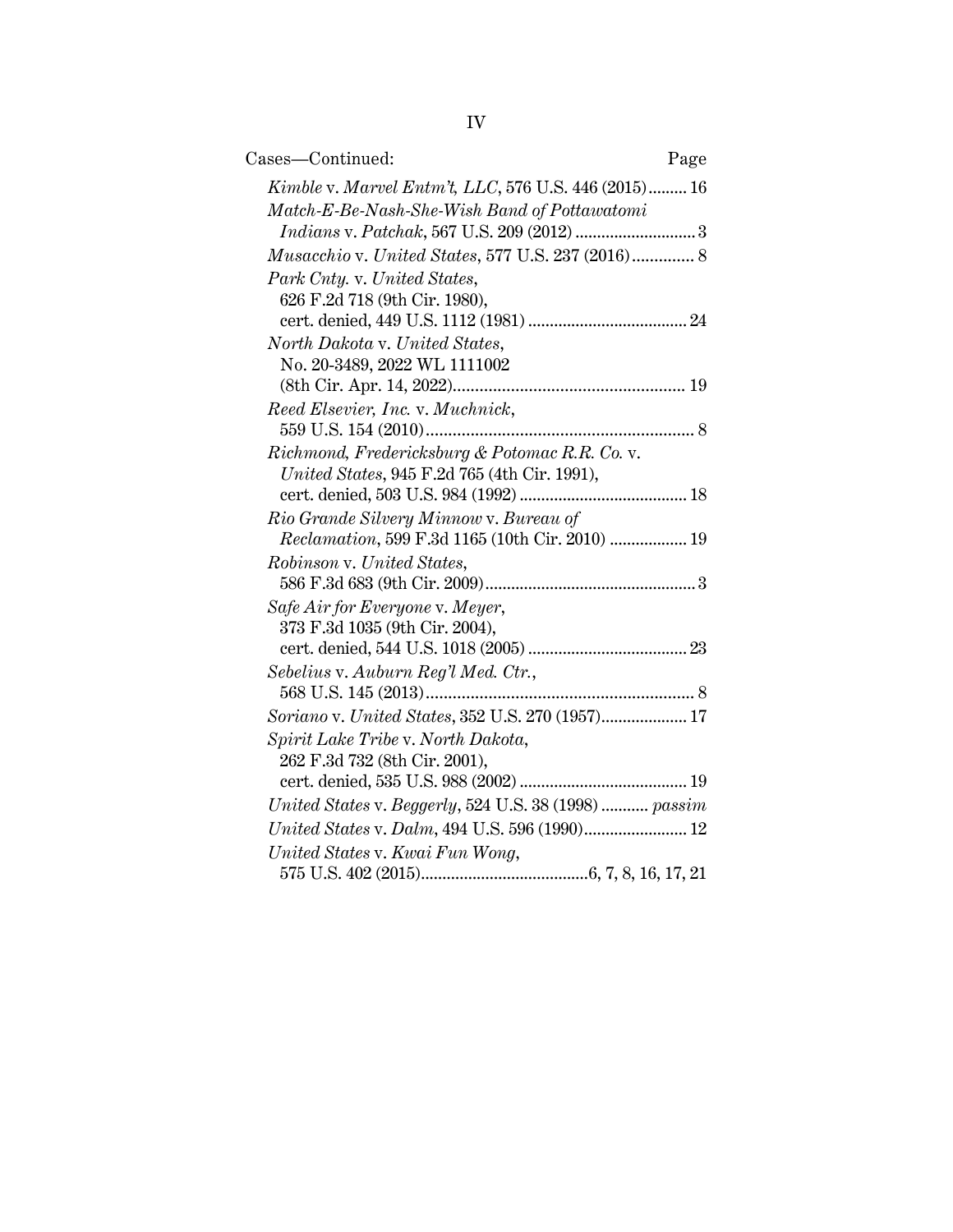| Cases—Continued:<br>Page                              |  |
|-------------------------------------------------------|--|
| Kimble v. Marvel Entm't, LLC, 576 U.S. 446 (2015) 16  |  |
| Match-E-Be-Nash-She-Wish Band of Pottawatomi          |  |
|                                                       |  |
| Musacchio v. United States, 577 U.S. 237 (2016) 8     |  |
| Park Cnty. v. United States,                          |  |
| 626 F.2d 718 (9th Cir. 1980),                         |  |
|                                                       |  |
| North Dakota v. United States,                        |  |
| No. 20-3489, 2022 WL 1111002                          |  |
|                                                       |  |
| Reed Elsevier, Inc. v. Muchnick,                      |  |
|                                                       |  |
| Richmond, Fredericksburg & Potomac R.R. Co. v.        |  |
| United States, 945 F.2d 765 (4th Cir. 1991),          |  |
|                                                       |  |
| Rio Grande Silvery Minnow v. Bureau of                |  |
| Reclamation, 599 F.3d 1165 (10th Cir. 2010)  19       |  |
| Robinson v. United States,                            |  |
|                                                       |  |
| Safe Air for Everyone v. Meyer,                       |  |
| 373 F.3d 1035 (9th Cir. 2004),                        |  |
|                                                       |  |
| Sebelius v. Auburn Reg'l Med. Ctr.,                   |  |
|                                                       |  |
| Soriano v. United States, 352 U.S. 270 (1957) 17      |  |
| Spirit Lake Tribe v. North Dakota,                    |  |
| 262 F.3d 732 (8th Cir. 2001),                         |  |
|                                                       |  |
| United States v. Beggerly, 524 U.S. 38 (1998)  passim |  |
| United States v. Dalm, 494 U.S. 596 (1990) 12         |  |
| United States v. Kwai Fun Wong,                       |  |
|                                                       |  |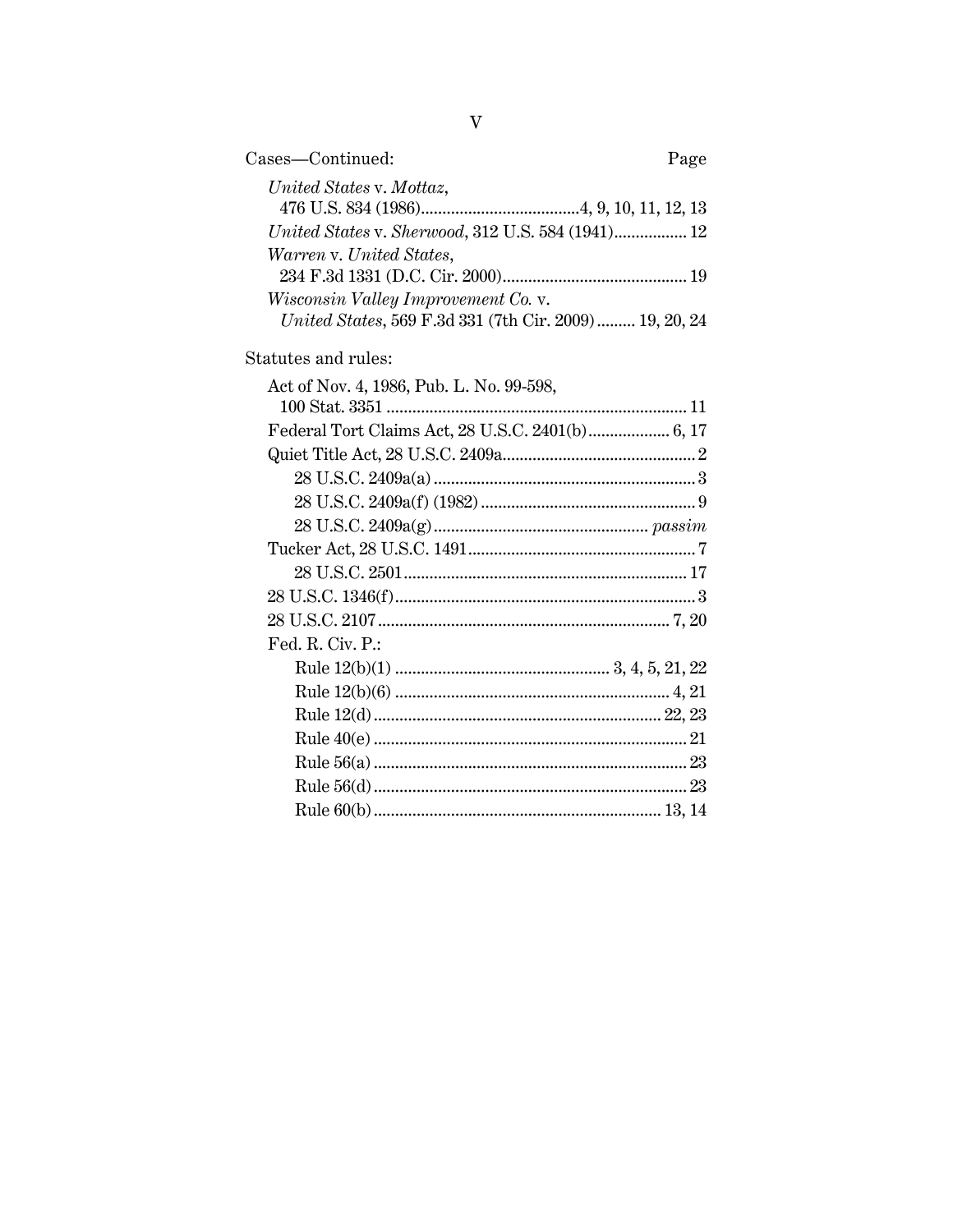| Cases-Continued:                                       | Page |
|--------------------------------------------------------|------|
| United States v. Mottaz,                               |      |
|                                                        |      |
| United States v. Sherwood, 312 U.S. 584 (1941) 12      |      |
| Warren v. United States,                               |      |
|                                                        |      |
| <i>Wisconsin Valley Improvement Co.v.</i>              |      |
| United States, 569 F.3d 331 (7th Cir. 2009) 19, 20, 24 |      |
| Statutes and rules:                                    |      |
| Act of Nov. 4, 1986, Pub. L. No. 99-598,               |      |
|                                                        |      |
| Federal Tort Claims Act, 28 U.S.C. 2401(b) 6, 17       |      |
|                                                        |      |
|                                                        |      |
|                                                        |      |
|                                                        |      |
|                                                        |      |
|                                                        |      |
|                                                        |      |
|                                                        |      |
| Fed. R. Civ. P.:                                       |      |
|                                                        |      |
|                                                        |      |
|                                                        |      |
|                                                        |      |
|                                                        |      |
|                                                        |      |
|                                                        |      |
|                                                        |      |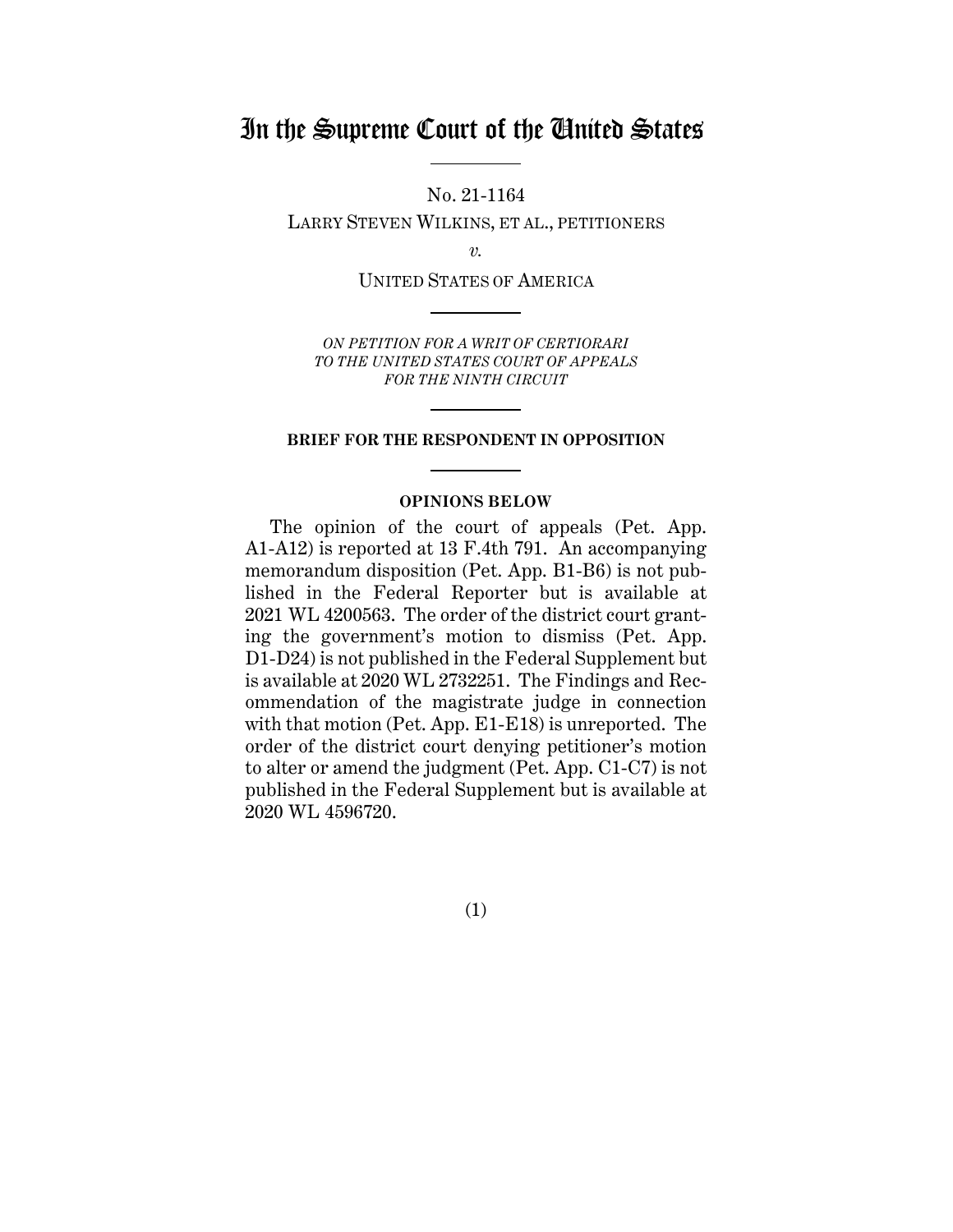# In the Supreme Court of the United States

No. 21-1164

LARRY STEVEN WILKINS, ET AL., PETITIONERS

*v.*

UNITED STATES OF AMERICA

*ON PETITION FOR A WRIT OF CERTIORARI TO THE UNITED STATES COURT OF APPEALS FOR THE NINTH CIRCUIT*

#### **BRIEF FOR THE RESPONDENT IN OPPOSITION**

#### **OPINIONS BELOW**

The opinion of the court of appeals (Pet. App. A1-A12) is reported at 13 F.4th 791. An accompanying memorandum disposition (Pet. App. B1-B6) is not published in the Federal Reporter but is available at 2021 WL 4200563. The order of the district court granting the government's motion to dismiss (Pet. App. D1-D24) is not published in the Federal Supplement but is available at 2020 WL 2732251. The Findings and Recommendation of the magistrate judge in connection with that motion (Pet. App. E1-E18) is unreported. The order of the district court denying petitioner's motion to alter or amend the judgment (Pet. App. C1-C7) is not published in the Federal Supplement but is available at 2020 WL 4596720.

(1)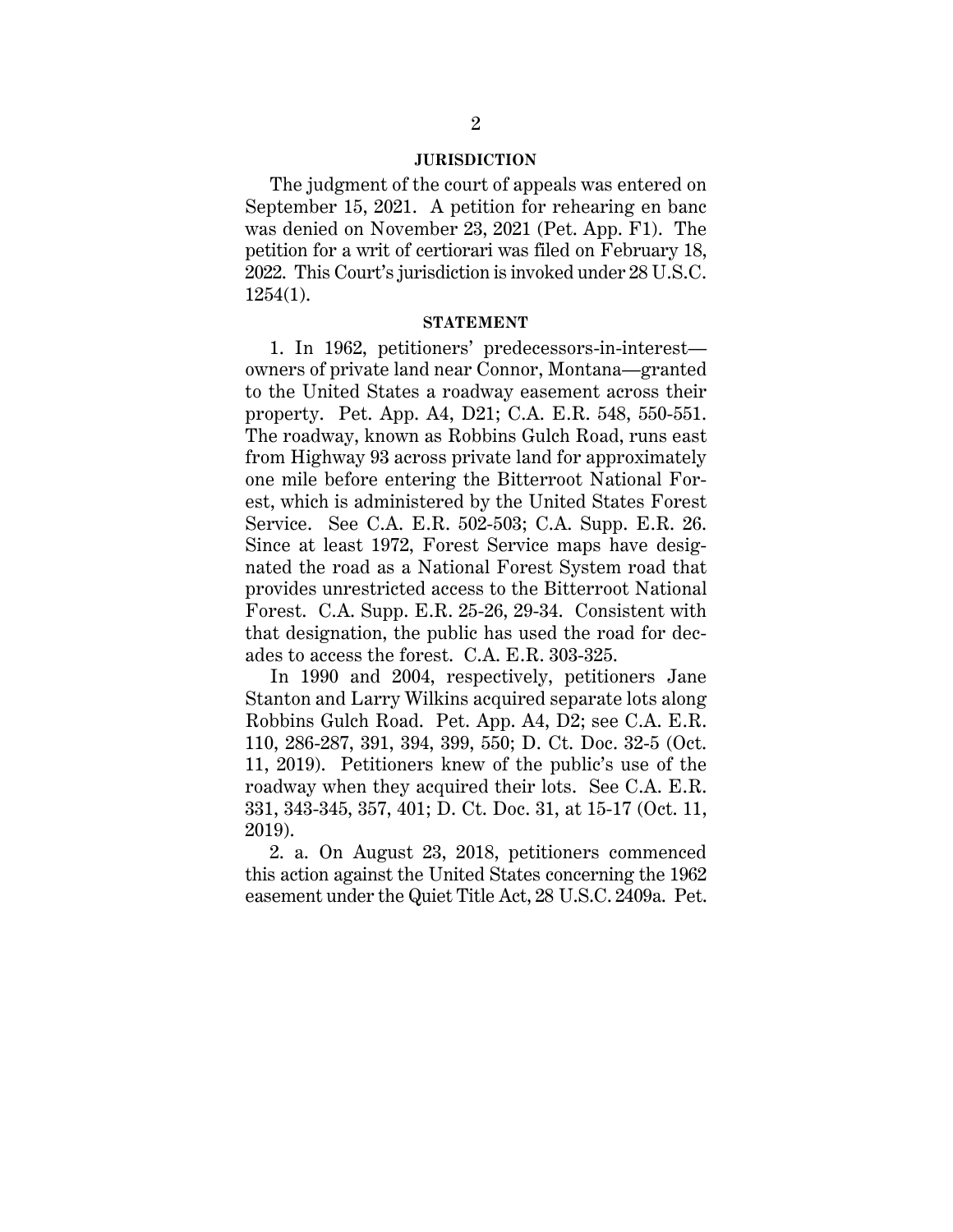#### **JURISDICTION**

The judgment of the court of appeals was entered on September 15, 2021. A petition for rehearing en banc was denied on November 23, 2021 (Pet. App. F1). The petition for a writ of certiorari was filed on February 18, 2022. This Court's jurisdiction is invoked under 28 U.S.C. 1254(1).

#### **STATEMENT**

1. In 1962, petitioners' predecessors-in-interest owners of private land near Connor, Montana—granted to the United States a roadway easement across their property. Pet. App. A4, D21; C.A. E.R. 548, 550-551. The roadway, known as Robbins Gulch Road, runs east from Highway 93 across private land for approximately one mile before entering the Bitterroot National Forest, which is administered by the United States Forest Service. See C.A. E.R. 502-503; C.A. Supp. E.R. 26. Since at least 1972, Forest Service maps have designated the road as a National Forest System road that provides unrestricted access to the Bitterroot National Forest. C.A. Supp. E.R. 25-26, 29-34. Consistent with that designation, the public has used the road for decades to access the forest. C.A. E.R. 303-325.

In 1990 and 2004, respectively, petitioners Jane Stanton and Larry Wilkins acquired separate lots along Robbins Gulch Road. Pet. App. A4, D2; see C.A. E.R. 110, 286-287, 391, 394, 399, 550; D. Ct. Doc. 32-5 (Oct. 11, 2019). Petitioners knew of the public's use of the roadway when they acquired their lots. See C.A. E.R. 331, 343-345, 357, 401; D. Ct. Doc. 31, at 15-17 (Oct. 11, 2019).

2. a. On August 23, 2018, petitioners commenced this action against the United States concerning the 1962 easement under the Quiet Title Act, 28 U.S.C. 2409a. Pet.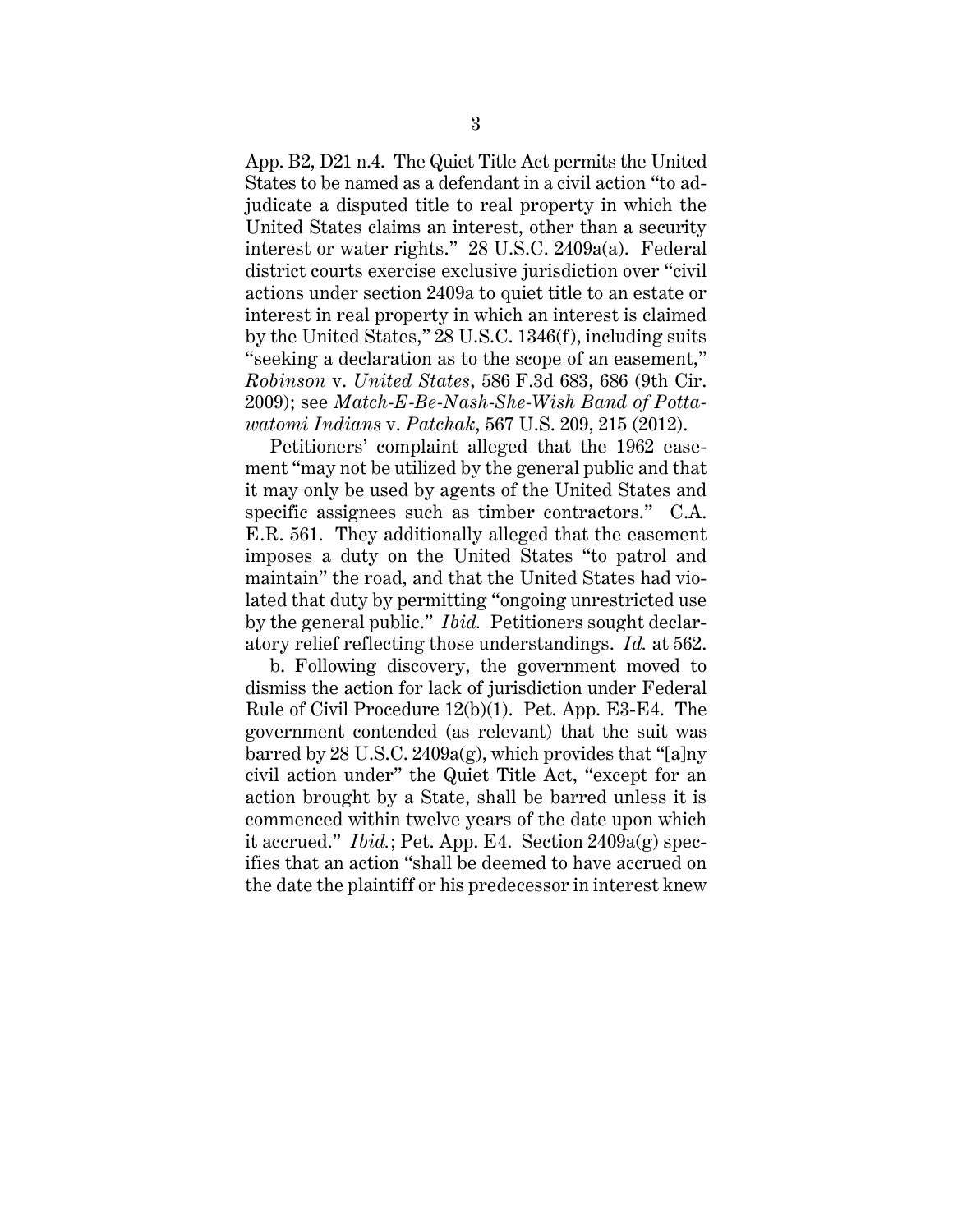App. B2, D21 n.4. The Quiet Title Act permits the United States to be named as a defendant in a civil action "to adjudicate a disputed title to real property in which the United States claims an interest, other than a security interest or water rights." 28 U.S.C. 2409a(a). Federal district courts exercise exclusive jurisdiction over "civil actions under section 2409a to quiet title to an estate or interest in real property in which an interest is claimed by the United States," 28 U.S.C. 1346(f), including suits "seeking a declaration as to the scope of an easement," *Robinson* v. *United States*, 586 F.3d 683, 686 (9th Cir. 2009); see *Match-E-Be-Nash-She-Wish Band of Pottawatomi Indians* v. *Patchak*, 567 U.S. 209, 215 (2012).

Petitioners' complaint alleged that the 1962 easement "may not be utilized by the general public and that it may only be used by agents of the United States and specific assignees such as timber contractors." C.A. E.R. 561. They additionally alleged that the easement imposes a duty on the United States "to patrol and maintain" the road, and that the United States had violated that duty by permitting "ongoing unrestricted use by the general public." *Ibid.* Petitioners sought declaratory relief reflecting those understandings. *Id.* at 562.

b. Following discovery, the government moved to dismiss the action for lack of jurisdiction under Federal Rule of Civil Procedure 12(b)(1). Pet. App. E3-E4. The government contended (as relevant) that the suit was barred by 28 U.S.C. 2409a(g), which provides that "[a]ny civil action under" the Quiet Title Act, "except for an action brought by a State, shall be barred unless it is commenced within twelve years of the date upon which it accrued." *Ibid.*; Pet. App. E4. Section 2409a(g) specifies that an action "shall be deemed to have accrued on the date the plaintiff or his predecessor in interest knew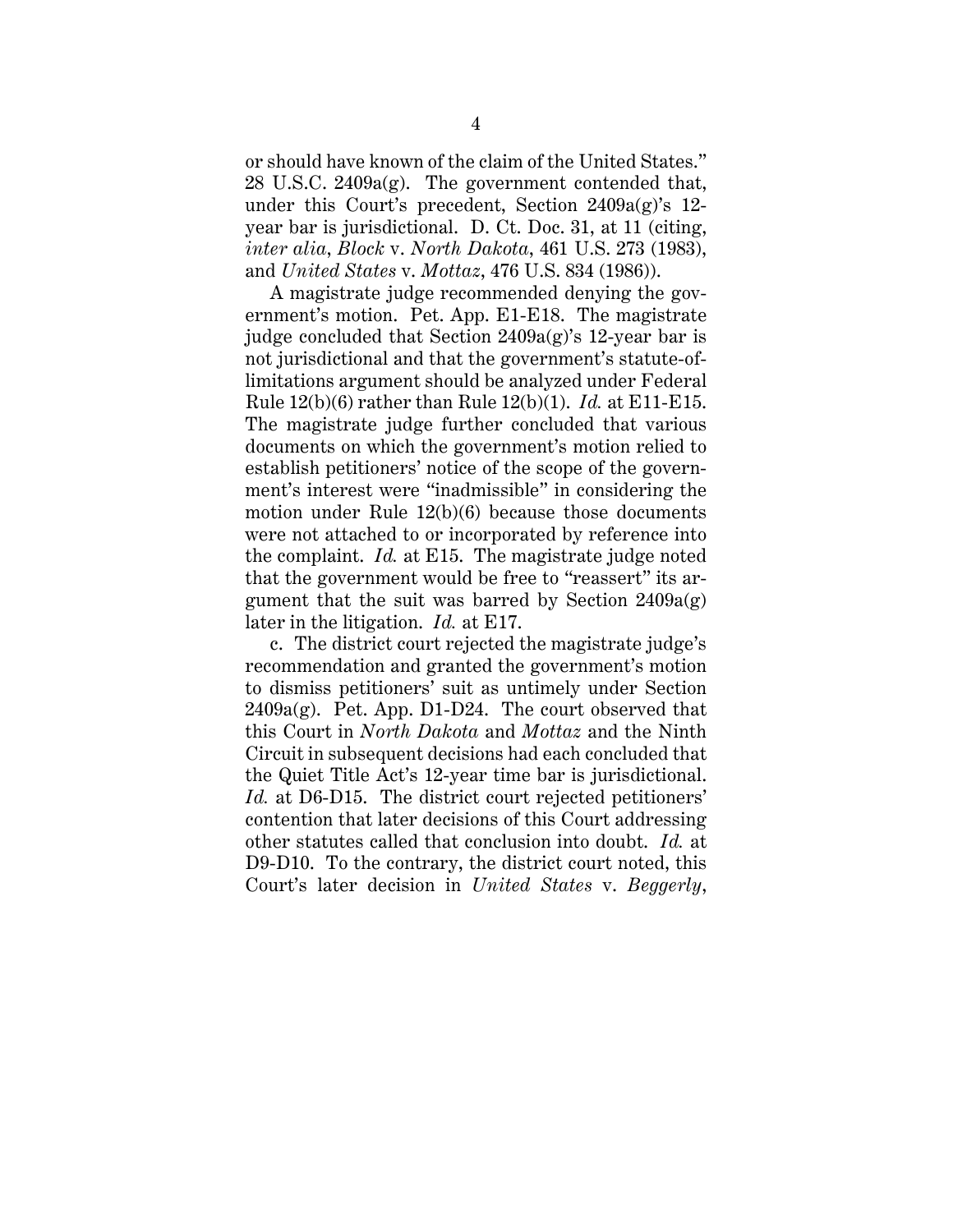or should have known of the claim of the United States." 28 U.S.C.  $2409a(g)$ . The government contended that, under this Court's precedent, Section 2409a(g)'s 12 year bar is jurisdictional. D. Ct. Doc. 31, at 11 (citing, *inter alia*, *Block* v. *North Dakota*, 461 U.S. 273 (1983), and *United States* v. *Mottaz*, 476 U.S. 834 (1986)).

A magistrate judge recommended denying the government's motion. Pet. App. E1-E18. The magistrate judge concluded that Section 2409a(g)'s 12-year bar is not jurisdictional and that the government's statute-oflimitations argument should be analyzed under Federal Rule 12(b)(6) rather than Rule 12(b)(1). *Id.* at E11-E15. The magistrate judge further concluded that various documents on which the government's motion relied to establish petitioners' notice of the scope of the government's interest were "inadmissible" in considering the motion under Rule 12(b)(6) because those documents were not attached to or incorporated by reference into the complaint. *Id.* at E15. The magistrate judge noted that the government would be free to "reassert" its argument that the suit was barred by Section  $2409a(g)$ later in the litigation. *Id.* at E17.

c. The district court rejected the magistrate judge's recommendation and granted the government's motion to dismiss petitioners' suit as untimely under Section  $2409a(g)$ . Pet. App. D1-D24. The court observed that this Court in *North Dakota* and *Mottaz* and the Ninth Circuit in subsequent decisions had each concluded that the Quiet Title Act's 12-year time bar is jurisdictional. *Id.* at D6-D15. The district court rejected petitioners' contention that later decisions of this Court addressing other statutes called that conclusion into doubt. *Id.* at D9-D10. To the contrary, the district court noted, this Court's later decision in *United States* v. *Beggerly*,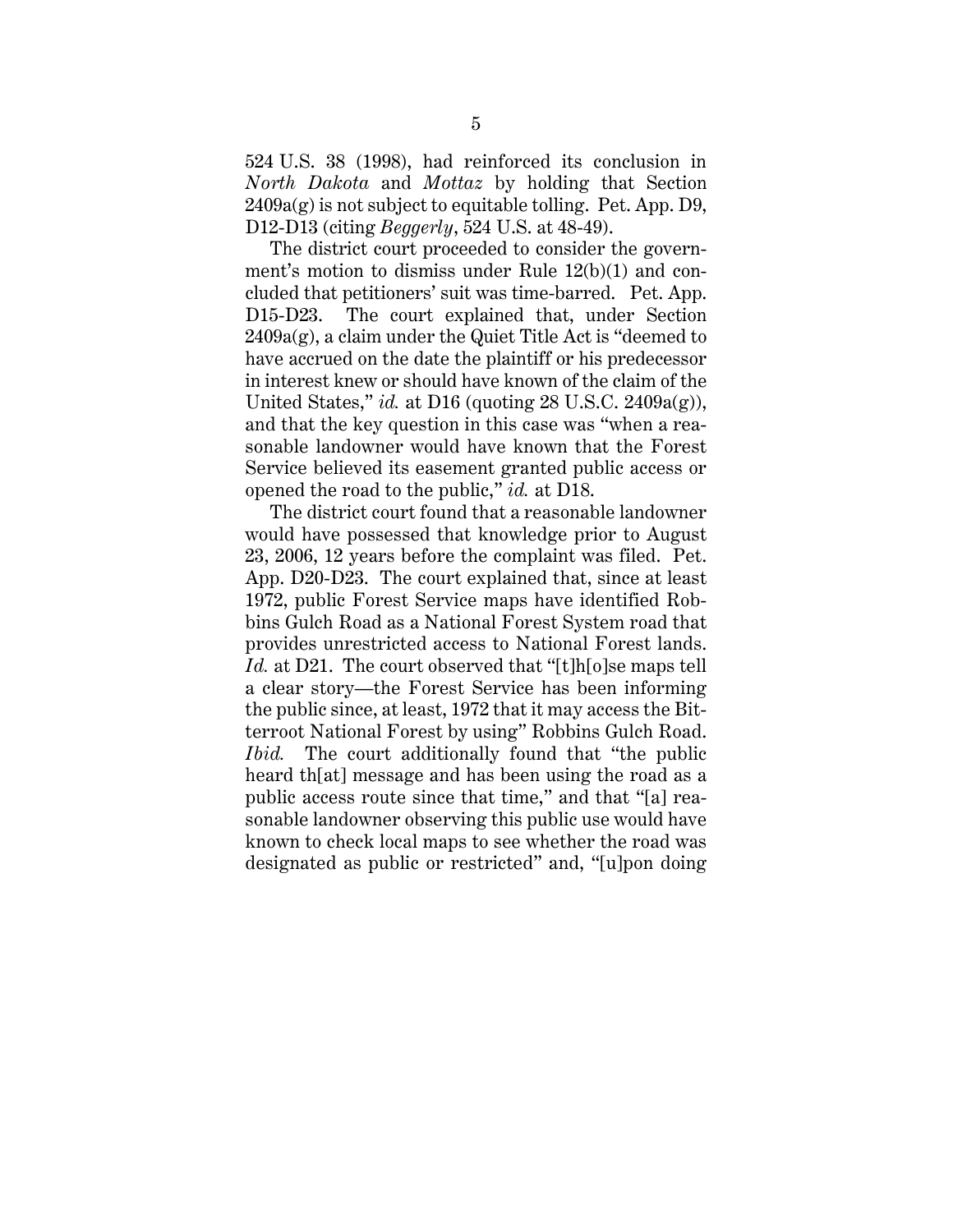524 U.S. 38 (1998), had reinforced its conclusion in *North Dakota* and *Mottaz* by holding that Section  $2409a(g)$  is not subject to equitable tolling. Pet. App. D9, D12-D13 (citing *Beggerly*, 524 U.S. at 48-49).

The district court proceeded to consider the government's motion to dismiss under Rule 12(b)(1) and concluded that petitioners' suit was time-barred. Pet. App. D15-D23. The court explained that, under Section  $2409a(g)$ , a claim under the Quiet Title Act is "deemed to have accrued on the date the plaintiff or his predecessor in interest knew or should have known of the claim of the United States," *id.* at D16 (quoting 28 U.S.C. 2409a(g)), and that the key question in this case was "when a reasonable landowner would have known that the Forest Service believed its easement granted public access or opened the road to the public," *id.* at D18.

The district court found that a reasonable landowner would have possessed that knowledge prior to August 23, 2006, 12 years before the complaint was filed. Pet. App. D20-D23. The court explained that, since at least 1972, public Forest Service maps have identified Robbins Gulch Road as a National Forest System road that provides unrestricted access to National Forest lands. *Id.* at D21. The court observed that "[t]h[o]se maps tell a clear story—the Forest Service has been informing the public since, at least, 1972 that it may access the Bitterroot National Forest by using" Robbins Gulch Road. *Ibid.* The court additionally found that "the public heard th[at] message and has been using the road as a public access route since that time," and that "[a] reasonable landowner observing this public use would have known to check local maps to see whether the road was designated as public or restricted" and, "[u]pon doing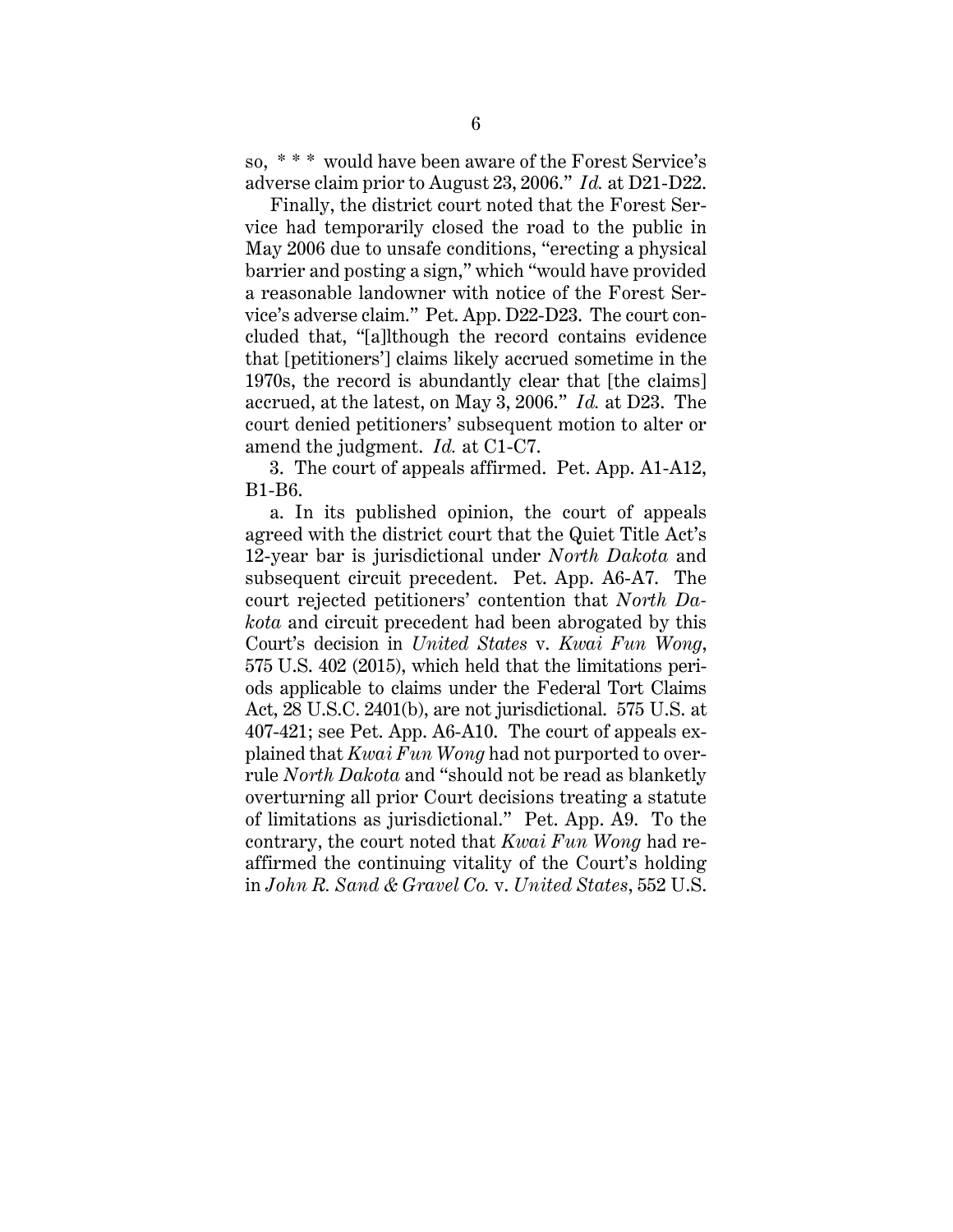so, \* \* \* would have been aware of the Forest Service's adverse claim prior to August 23, 2006." *Id.* at D21-D22.

Finally, the district court noted that the Forest Service had temporarily closed the road to the public in May 2006 due to unsafe conditions, "erecting a physical barrier and posting a sign," which "would have provided a reasonable landowner with notice of the Forest Service's adverse claim." Pet. App. D22-D23. The court concluded that, "[a]lthough the record contains evidence that [petitioners'] claims likely accrued sometime in the 1970s, the record is abundantly clear that [the claims] accrued, at the latest, on May 3, 2006." *Id.* at D23. The court denied petitioners' subsequent motion to alter or amend the judgment. *Id.* at C1-C7.

3. The court of appeals affirmed. Pet. App. A1-A12, B1-B6.

a. In its published opinion, the court of appeals agreed with the district court that the Quiet Title Act's 12-year bar is jurisdictional under *North Dakota* and subsequent circuit precedent. Pet. App. A6-A7. The court rejected petitioners' contention that *North Dakota* and circuit precedent had been abrogated by this Court's decision in *United States* v. *Kwai Fun Wong*, 575 U.S. 402 (2015), which held that the limitations periods applicable to claims under the Federal Tort Claims Act, 28 U.S.C. 2401(b), are not jurisdictional. 575 U.S. at 407-421; see Pet. App. A6-A10. The court of appeals explained that *Kwai Fun Wong* had not purported to overrule *North Dakota* and "should not be read as blanketly overturning all prior Court decisions treating a statute of limitations as jurisdictional." Pet. App. A9. To the contrary, the court noted that *Kwai Fun Wong* had reaffirmed the continuing vitality of the Court's holding in *John R. Sand & Gravel Co.* v. *United States*, 552 U.S.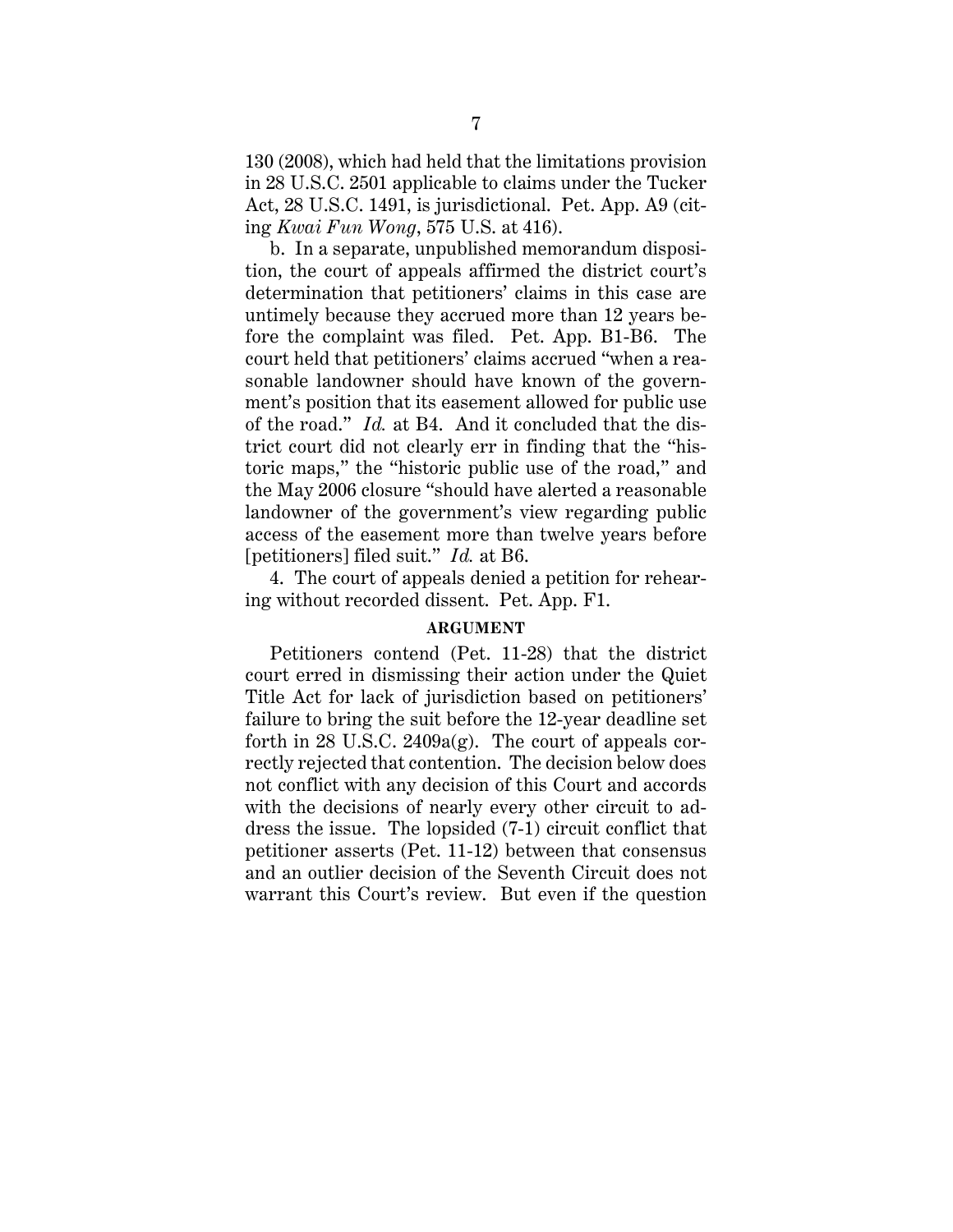130 (2008), which had held that the limitations provision in 28 U.S.C. 2501 applicable to claims under the Tucker Act, 28 U.S.C. 1491, is jurisdictional. Pet. App. A9 (citing *Kwai Fun Wong*, 575 U.S. at 416).

b. In a separate, unpublished memorandum disposition, the court of appeals affirmed the district court's determination that petitioners' claims in this case are untimely because they accrued more than 12 years before the complaint was filed. Pet. App. B1-B6. The court held that petitioners' claims accrued "when a reasonable landowner should have known of the government's position that its easement allowed for public use of the road." *Id.* at B4. And it concluded that the district court did not clearly err in finding that the "historic maps," the "historic public use of the road," and the May 2006 closure "should have alerted a reasonable landowner of the government's view regarding public access of the easement more than twelve years before [petitioners] filed suit." *Id.* at B6.

4. The court of appeals denied a petition for rehearing without recorded dissent. Pet. App. F1.

#### **ARGUMENT**

Petitioners contend (Pet. 11-28) that the district court erred in dismissing their action under the Quiet Title Act for lack of jurisdiction based on petitioners' failure to bring the suit before the 12-year deadline set forth in 28 U.S.C. 2409 $a(g)$ . The court of appeals correctly rejected that contention. The decision below does not conflict with any decision of this Court and accords with the decisions of nearly every other circuit to address the issue. The lopsided (7-1) circuit conflict that petitioner asserts (Pet. 11-12) between that consensus and an outlier decision of the Seventh Circuit does not warrant this Court's review. But even if the question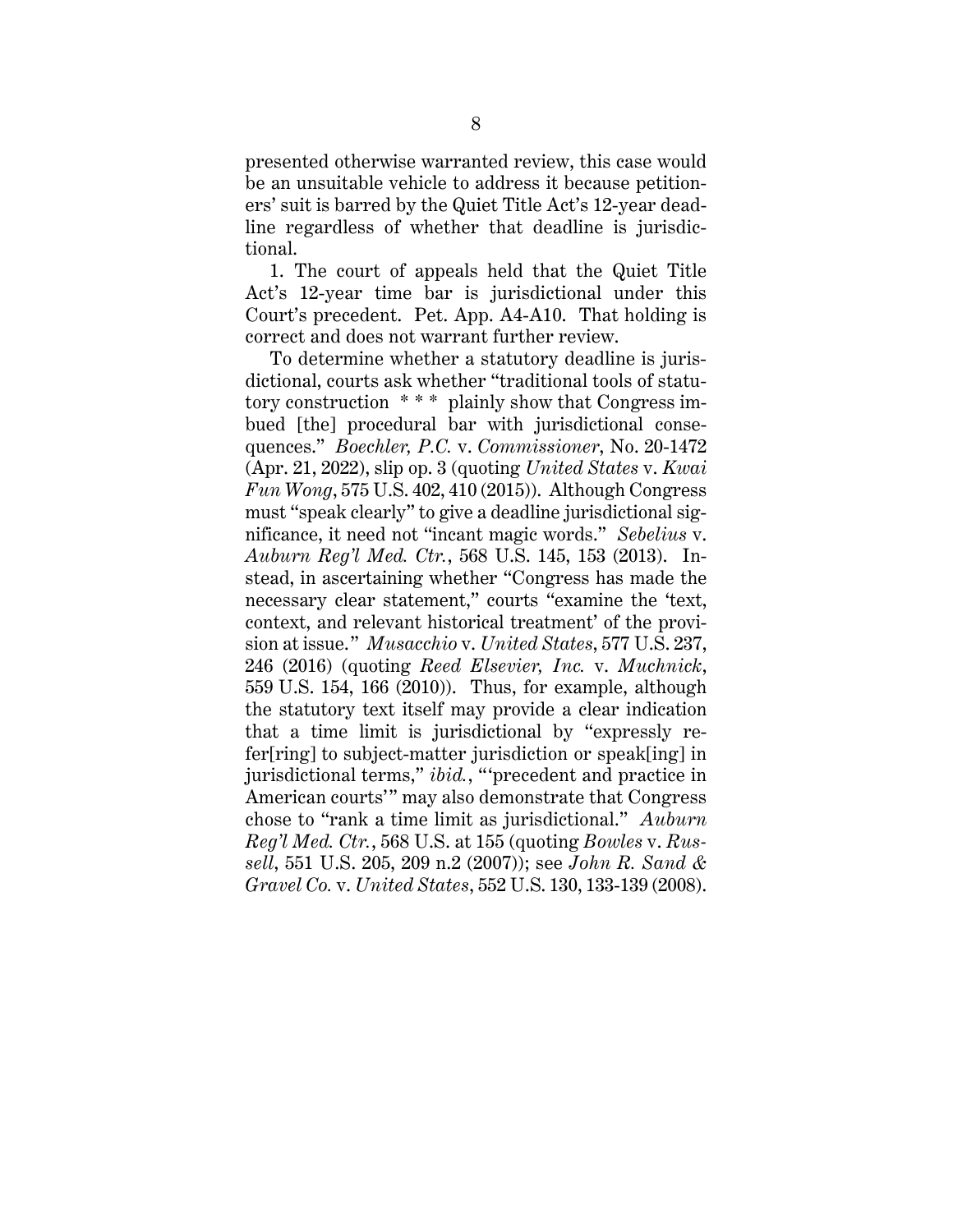presented otherwise warranted review, this case would be an unsuitable vehicle to address it because petitioners' suit is barred by the Quiet Title Act's 12-year deadline regardless of whether that deadline is jurisdictional.

1. The court of appeals held that the Quiet Title Act's 12-year time bar is jurisdictional under this Court's precedent. Pet. App. A4-A10. That holding is correct and does not warrant further review.

To determine whether a statutory deadline is jurisdictional, courts ask whether "traditional tools of statutory construction \* \* \* plainly show that Congress imbued [the] procedural bar with jurisdictional consequences." *Boechler, P.C.* v. *Commissioner*, No. 20-1472 (Apr. 21, 2022), slip op. 3 (quoting *United States* v. *Kwai Fun Wong*, 575 U.S. 402, 410 (2015)). Although Congress must "speak clearly" to give a deadline jurisdictional significance, it need not "incant magic words." *Sebelius* v. *Auburn Reg'l Med. Ctr.*, 568 U.S. 145, 153 (2013). Instead, in ascertaining whether "Congress has made the necessary clear statement," courts "examine the 'text, context, and relevant historical treatment' of the provision at issue." *Musacchio* v. *United States*, 577 U.S. 237, 246 (2016) (quoting *Reed Elsevier, Inc.* v. *Muchnick*, 559 U.S. 154, 166 (2010)). Thus, for example, although the statutory text itself may provide a clear indication that a time limit is jurisdictional by "expressly refer[ring] to subject-matter jurisdiction or speak[ing] in jurisdictional terms," *ibid.*, "'precedent and practice in American courts'" may also demonstrate that Congress chose to "rank a time limit as jurisdictional." *Auburn Reg'l Med. Ctr.*, 568 U.S. at 155 (quoting *Bowles* v. *Russell*, 551 U.S. 205, 209 n.2 (2007)); see *John R. Sand & Gravel Co.* v. *United States*, 552 U.S. 130, 133-139 (2008).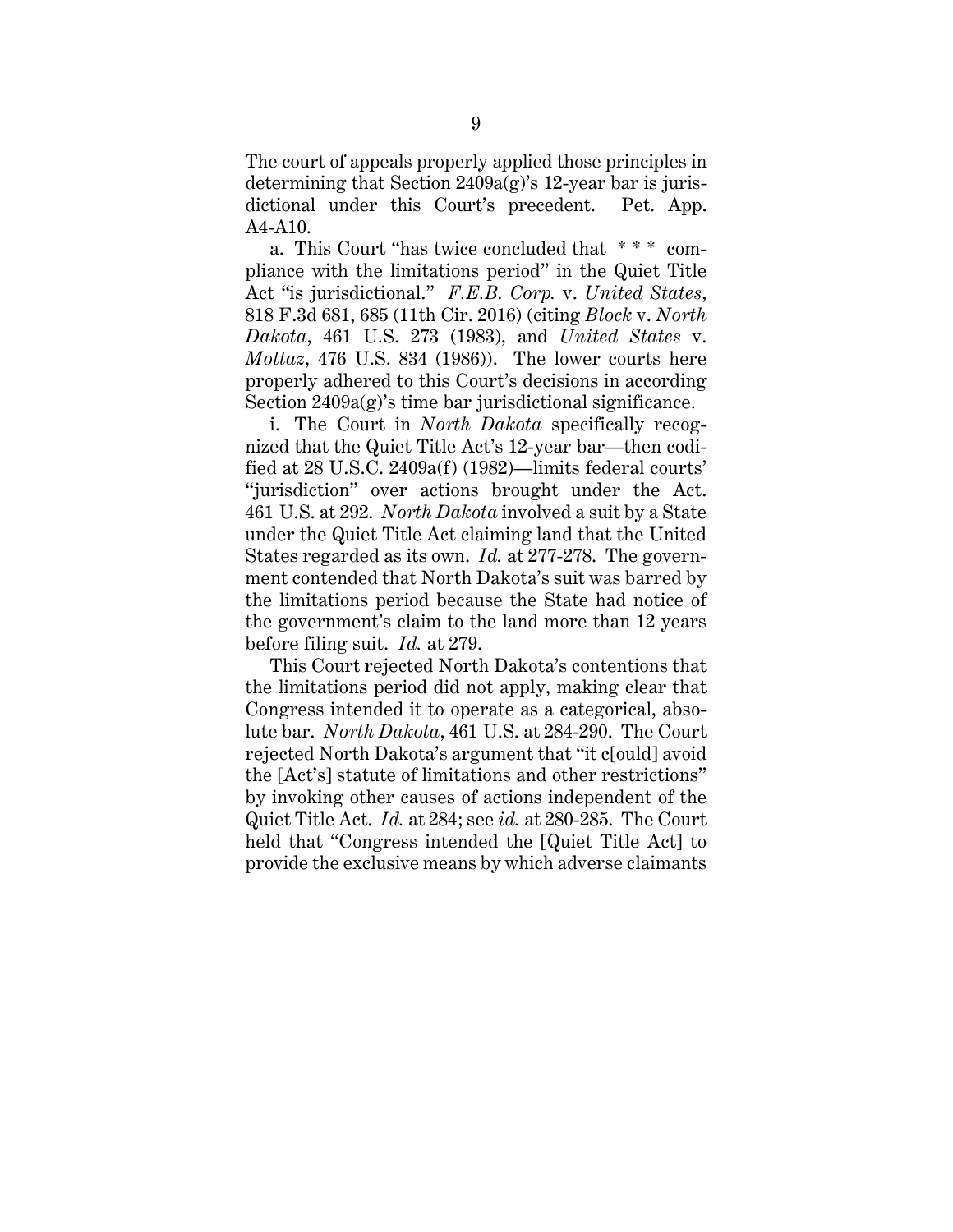The court of appeals properly applied those principles in determining that Section 2409a(g)'s 12-year bar is jurisdictional under this Court's precedent. Pet. App. A4-A10.

a. This Court "has twice concluded that \* \* \* compliance with the limitations period" in the Quiet Title Act "is jurisdictional." *F.E.B. Corp.* v. *United States*, 818 F.3d 681, 685 (11th Cir. 2016) (citing *Block* v. *North Dakota*, 461 U.S. 273 (1983), and *United States* v. *Mottaz*, 476 U.S. 834 (1986)). The lower courts here properly adhered to this Court's decisions in according Section 2409a(g)'s time bar jurisdictional significance.

i. The Court in *North Dakota* specifically recognized that the Quiet Title Act's 12-year bar—then codified at 28 U.S.C. 2409a(f) (1982)—limits federal courts' "jurisdiction" over actions brought under the Act. 461 U.S. at 292. *North Dakota* involved a suit by a State under the Quiet Title Act claiming land that the United States regarded as its own. *Id.* at 277-278. The government contended that North Dakota's suit was barred by the limitations period because the State had notice of the government's claim to the land more than 12 years before filing suit. *Id.* at 279.

This Court rejected North Dakota's contentions that the limitations period did not apply, making clear that Congress intended it to operate as a categorical, absolute bar. *North Dakota*, 461 U.S. at 284-290. The Court rejected North Dakota's argument that "it c[ould] avoid the [Act's] statute of limitations and other restrictions" by invoking other causes of actions independent of the Quiet Title Act. *Id.* at 284; see *id.* at 280-285. The Court held that "Congress intended the [Quiet Title Act] to provide the exclusive means by which adverse claimants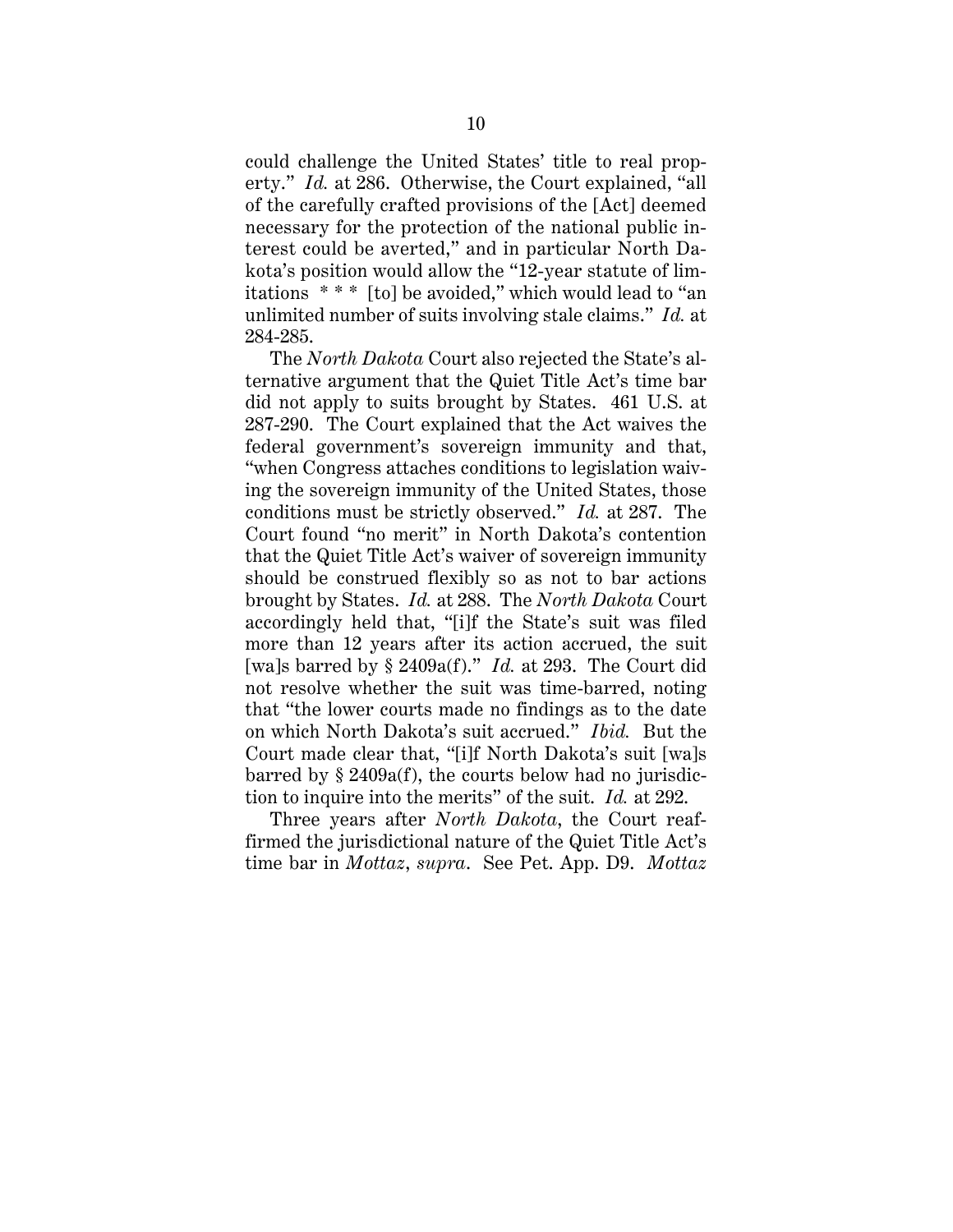could challenge the United States' title to real property." *Id.* at 286. Otherwise, the Court explained, "all of the carefully crafted provisions of the [Act] deemed necessary for the protection of the national public interest could be averted," and in particular North Dakota's position would allow the "12-year statute of limitations \* \* \* [to] be avoided," which would lead to "an unlimited number of suits involving stale claims." *Id.* at 284-285.

The *North Dakota* Court also rejected the State's alternative argument that the Quiet Title Act's time bar did not apply to suits brought by States. 461 U.S. at 287-290. The Court explained that the Act waives the federal government's sovereign immunity and that, "when Congress attaches conditions to legislation waiving the sovereign immunity of the United States, those conditions must be strictly observed." *Id.* at 287. The Court found "no merit" in North Dakota's contention that the Quiet Title Act's waiver of sovereign immunity should be construed flexibly so as not to bar actions brought by States. *Id.* at 288. The *North Dakota* Court accordingly held that, "[i]f the State's suit was filed more than 12 years after its action accrued, the suit [wa]s barred by § 2409a(f)." *Id.* at 293. The Court did not resolve whether the suit was time-barred, noting that "the lower courts made no findings as to the date on which North Dakota's suit accrued." *Ibid.* But the Court made clear that, "[i]f North Dakota's suit [wa]s barred by § 2409a(f), the courts below had no jurisdiction to inquire into the merits" of the suit. *Id.* at 292.

Three years after *North Dakota*, the Court reaffirmed the jurisdictional nature of the Quiet Title Act's time bar in *Mottaz*, *supra*. See Pet. App. D9. *Mottaz*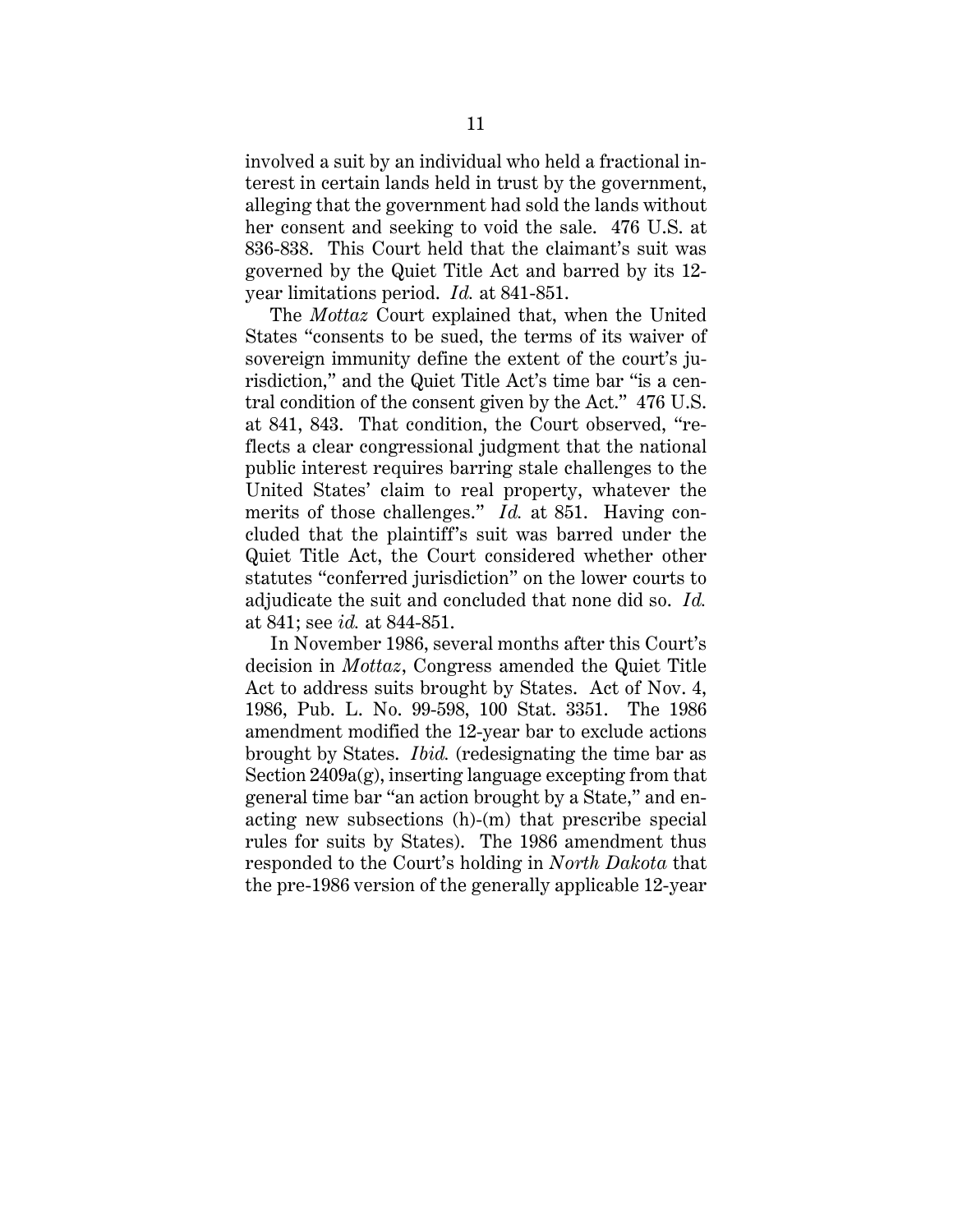involved a suit by an individual who held a fractional interest in certain lands held in trust by the government, alleging that the government had sold the lands without her consent and seeking to void the sale. 476 U.S. at 836-838. This Court held that the claimant's suit was governed by the Quiet Title Act and barred by its 12 year limitations period. *Id.* at 841-851.

The *Mottaz* Court explained that, when the United States "consents to be sued, the terms of its waiver of sovereign immunity define the extent of the court's jurisdiction," and the Quiet Title Act's time bar "is a central condition of the consent given by the Act." 476 U.S. at 841, 843. That condition, the Court observed, "reflects a clear congressional judgment that the national public interest requires barring stale challenges to the United States' claim to real property, whatever the merits of those challenges." *Id.* at 851. Having concluded that the plaintiff's suit was barred under the Quiet Title Act, the Court considered whether other statutes "conferred jurisdiction" on the lower courts to adjudicate the suit and concluded that none did so. *Id.* at 841; see *id.* at 844-851.

In November 1986, several months after this Court's decision in *Mottaz*, Congress amended the Quiet Title Act to address suits brought by States. Act of Nov. 4, 1986, Pub. L. No. 99-598, 100 Stat. 3351. The 1986 amendment modified the 12-year bar to exclude actions brought by States. *Ibid.* (redesignating the time bar as Section 2409a(g), inserting language excepting from that general time bar "an action brought by a State," and enacting new subsections (h)-(m) that prescribe special rules for suits by States). The 1986 amendment thus responded to the Court's holding in *North Dakota* that the pre-1986 version of the generally applicable 12-year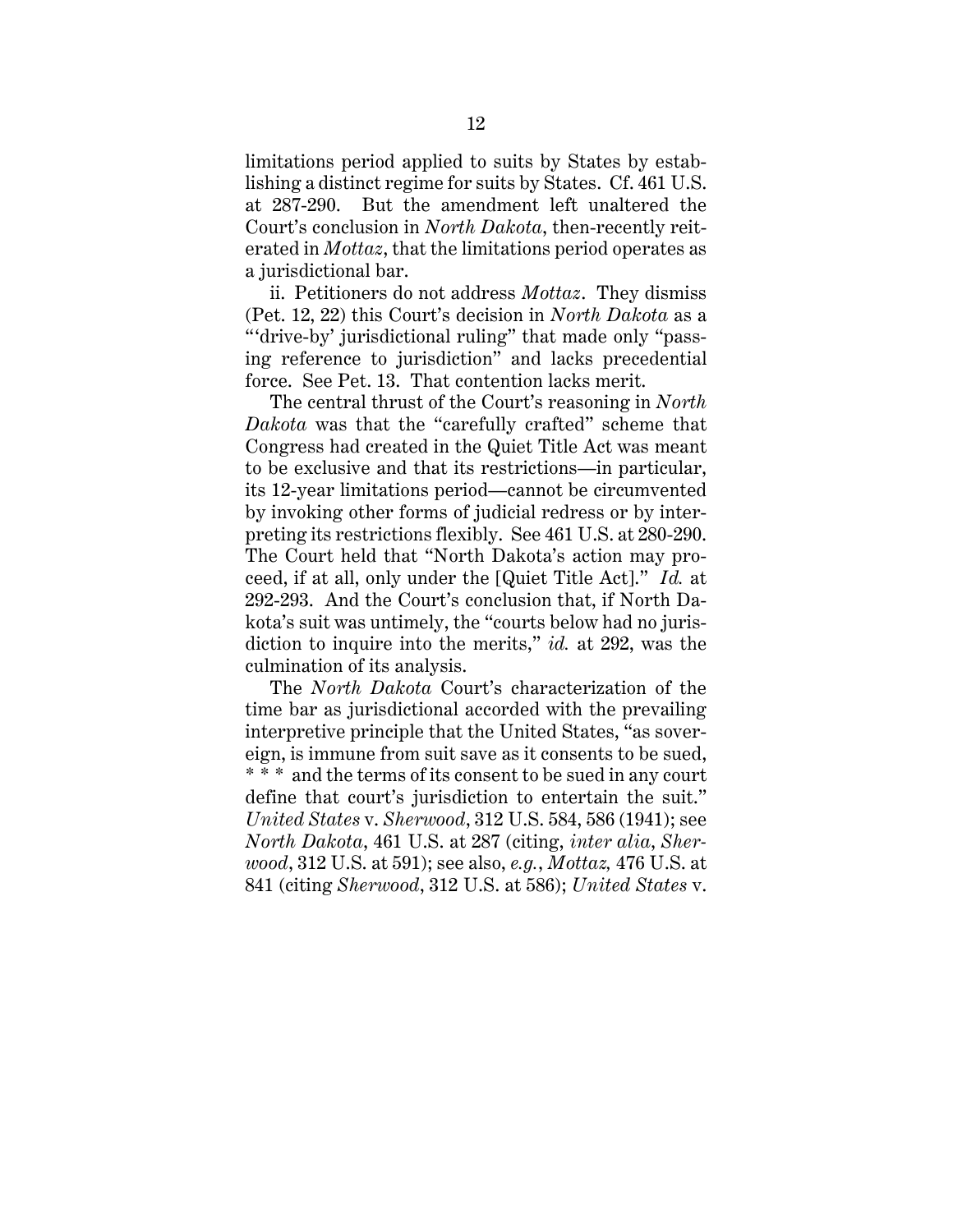limitations period applied to suits by States by establishing a distinct regime for suits by States. Cf. 461 U.S. at 287-290. But the amendment left unaltered the Court's conclusion in *North Dakota*, then-recently reiterated in *Mottaz*, that the limitations period operates as a jurisdictional bar.

ii. Petitioners do not address *Mottaz*. They dismiss (Pet. 12, 22) this Court's decision in *North Dakota* as a "'drive-by' jurisdictional ruling" that made only "passing reference to jurisdiction" and lacks precedential force. See Pet. 13. That contention lacks merit.

The central thrust of the Court's reasoning in *North Dakota* was that the "carefully crafted" scheme that Congress had created in the Quiet Title Act was meant to be exclusive and that its restrictions—in particular, its 12-year limitations period—cannot be circumvented by invoking other forms of judicial redress or by interpreting its restrictions flexibly. See 461 U.S. at 280-290. The Court held that "North Dakota's action may proceed, if at all, only under the [Quiet Title Act]." *Id.* at 292-293. And the Court's conclusion that, if North Dakota's suit was untimely, the "courts below had no jurisdiction to inquire into the merits," *id.* at 292, was the culmination of its analysis.

The *North Dakota* Court's characterization of the time bar as jurisdictional accorded with the prevailing interpretive principle that the United States, "as sovereign, is immune from suit save as it consents to be sued, \* \* \* and the terms of its consent to be sued in any court define that court's jurisdiction to entertain the suit." *United States* v. *Sherwood*, 312 U.S. 584, 586 (1941); see *North Dakota*, 461 U.S. at 287 (citing, *inter alia*, *Sherwood*, 312 U.S. at 591); see also, *e.g.*, *Mottaz,* 476 U.S. at 841 (citing *Sherwood*, 312 U.S. at 586); *United States* v.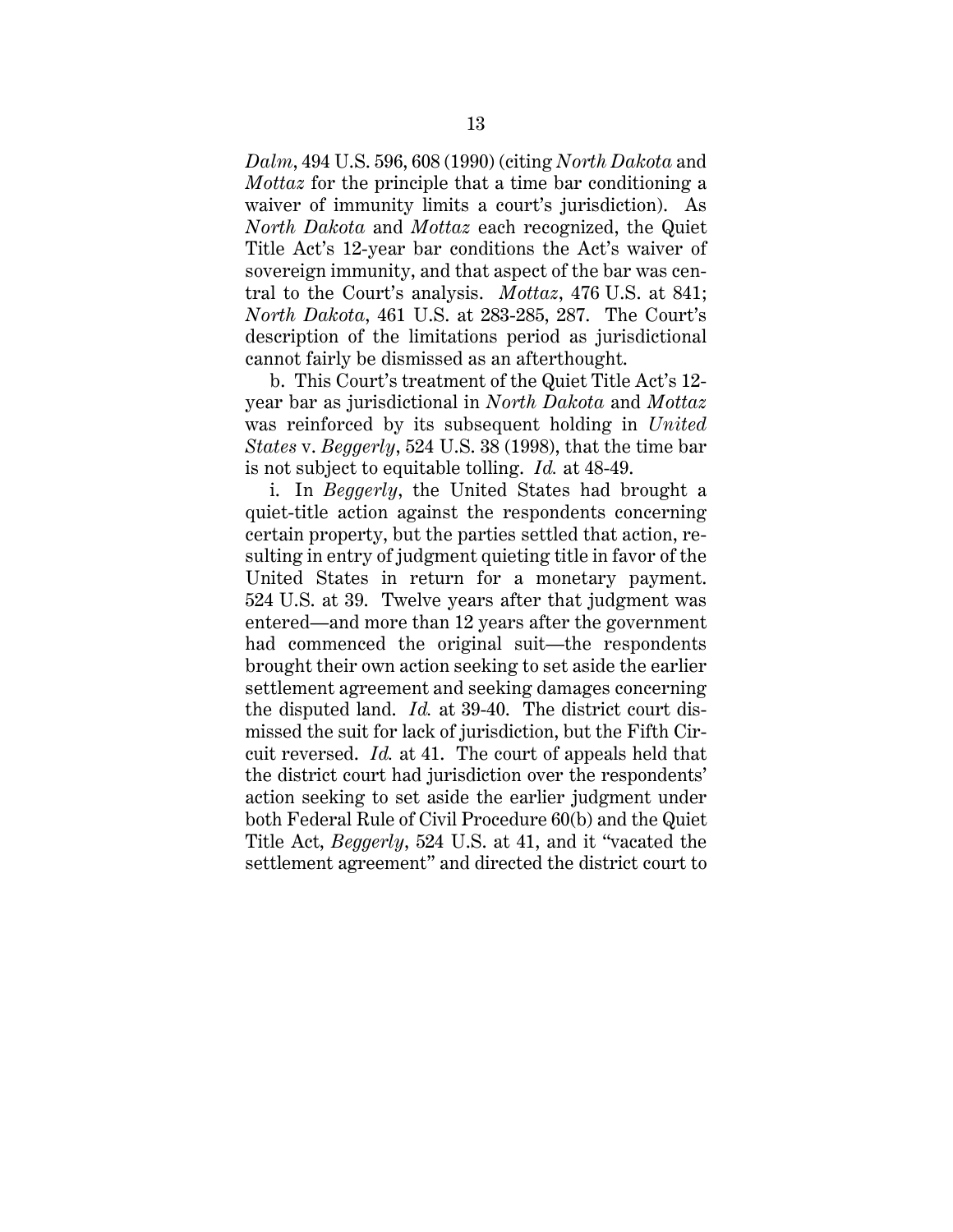*Dalm*, 494 U.S. 596, 608 (1990) (citing *North Dakota* and *Mottaz* for the principle that a time bar conditioning a waiver of immunity limits a court's jurisdiction). As *North Dakota* and *Mottaz* each recognized, the Quiet Title Act's 12-year bar conditions the Act's waiver of sovereign immunity, and that aspect of the bar was central to the Court's analysis. *Mottaz*, 476 U.S. at 841; *North Dakota*, 461 U.S. at 283-285, 287. The Court's description of the limitations period as jurisdictional cannot fairly be dismissed as an afterthought.

b. This Court's treatment of the Quiet Title Act's 12 year bar as jurisdictional in *North Dakota* and *Mottaz* was reinforced by its subsequent holding in *United States* v. *Beggerly*, 524 U.S. 38 (1998), that the time bar is not subject to equitable tolling. *Id.* at 48-49.

i. In *Beggerly*, the United States had brought a quiet-title action against the respondents concerning certain property, but the parties settled that action, resulting in entry of judgment quieting title in favor of the United States in return for a monetary payment. 524 U.S. at 39. Twelve years after that judgment was entered—and more than 12 years after the government had commenced the original suit—the respondents brought their own action seeking to set aside the earlier settlement agreement and seeking damages concerning the disputed land. *Id.* at 39-40. The district court dismissed the suit for lack of jurisdiction, but the Fifth Circuit reversed. *Id.* at 41. The court of appeals held that the district court had jurisdiction over the respondents' action seeking to set aside the earlier judgment under both Federal Rule of Civil Procedure 60(b) and the Quiet Title Act, *Beggerly*, 524 U.S. at 41, and it "vacated the settlement agreement" and directed the district court to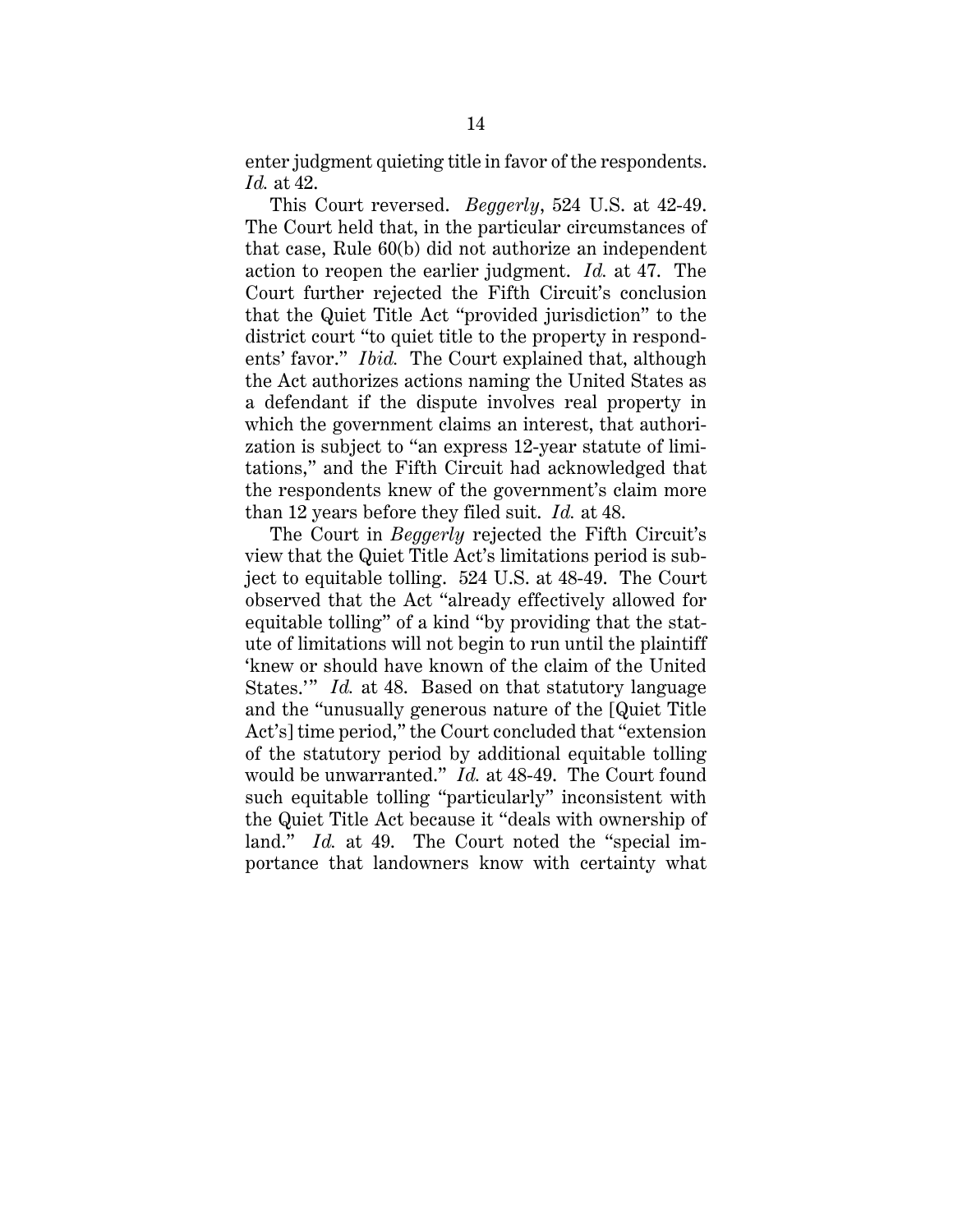enter judgment quieting title in favor of the respondents. *Id.* at 42.

This Court reversed. *Beggerly*, 524 U.S. at 42-49. The Court held that, in the particular circumstances of that case, Rule 60(b) did not authorize an independent action to reopen the earlier judgment. *Id.* at 47. The Court further rejected the Fifth Circuit's conclusion that the Quiet Title Act "provided jurisdiction" to the district court "to quiet title to the property in respondents' favor." *Ibid.* The Court explained that, although the Act authorizes actions naming the United States as a defendant if the dispute involves real property in which the government claims an interest, that authorization is subject to "an express 12-year statute of limitations," and the Fifth Circuit had acknowledged that the respondents knew of the government's claim more than 12 years before they filed suit. *Id.* at 48.

The Court in *Beggerly* rejected the Fifth Circuit's view that the Quiet Title Act's limitations period is subject to equitable tolling. 524 U.S. at 48-49. The Court observed that the Act "already effectively allowed for equitable tolling" of a kind "by providing that the statute of limitations will not begin to run until the plaintiff 'knew or should have known of the claim of the United States.'" *Id.* at 48. Based on that statutory language and the "unusually generous nature of the [Quiet Title Act's] time period," the Court concluded that "extension of the statutory period by additional equitable tolling would be unwarranted." *Id.* at 48-49. The Court found such equitable tolling "particularly" inconsistent with the Quiet Title Act because it "deals with ownership of land." *Id.* at 49. The Court noted the "special importance that landowners know with certainty what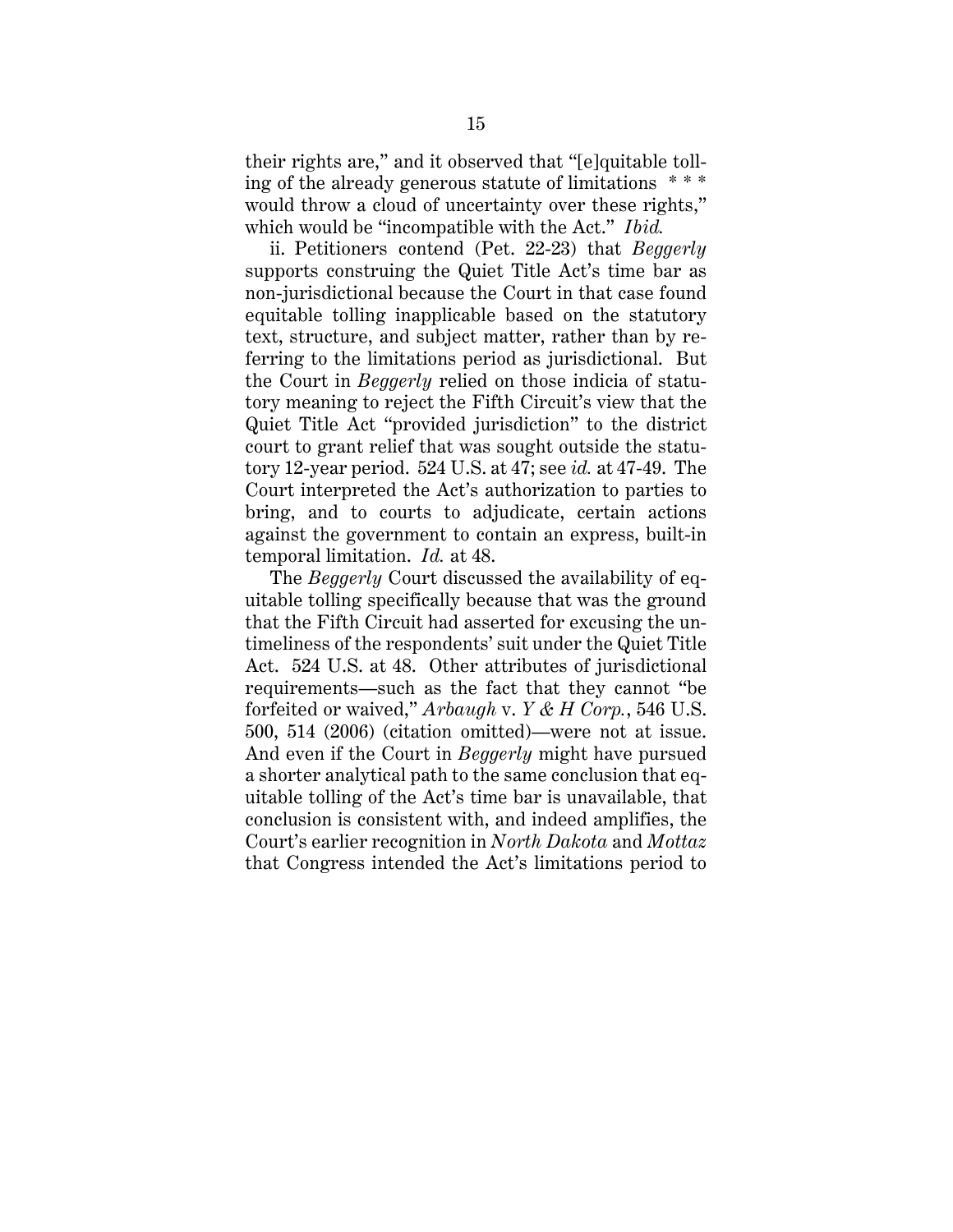their rights are," and it observed that "[e]quitable tolling of the already generous statute of limitations \* \* \* would throw a cloud of uncertainty over these rights," which would be "incompatible with the Act." *Ibid.*

ii. Petitioners contend (Pet. 22-23) that *Beggerly* supports construing the Quiet Title Act's time bar as non-jurisdictional because the Court in that case found equitable tolling inapplicable based on the statutory text, structure, and subject matter, rather than by referring to the limitations period as jurisdictional. But the Court in *Beggerly* relied on those indicia of statutory meaning to reject the Fifth Circuit's view that the Quiet Title Act "provided jurisdiction" to the district court to grant relief that was sought outside the statutory 12-year period. 524 U.S. at 47; see *id.* at 47-49. The Court interpreted the Act's authorization to parties to bring, and to courts to adjudicate, certain actions against the government to contain an express, built-in temporal limitation. *Id.* at 48.

The *Beggerly* Court discussed the availability of equitable tolling specifically because that was the ground that the Fifth Circuit had asserted for excusing the untimeliness of the respondents' suit under the Quiet Title Act. 524 U.S. at 48. Other attributes of jurisdictional requirements—such as the fact that they cannot "be forfeited or waived," *Arbaugh* v. *Y & H Corp.*, 546 U.S. 500, 514 (2006) (citation omitted)—were not at issue. And even if the Court in *Beggerly* might have pursued a shorter analytical path to the same conclusion that equitable tolling of the Act's time bar is unavailable, that conclusion is consistent with, and indeed amplifies, the Court's earlier recognition in *North Dakota* and *Mottaz* that Congress intended the Act's limitations period to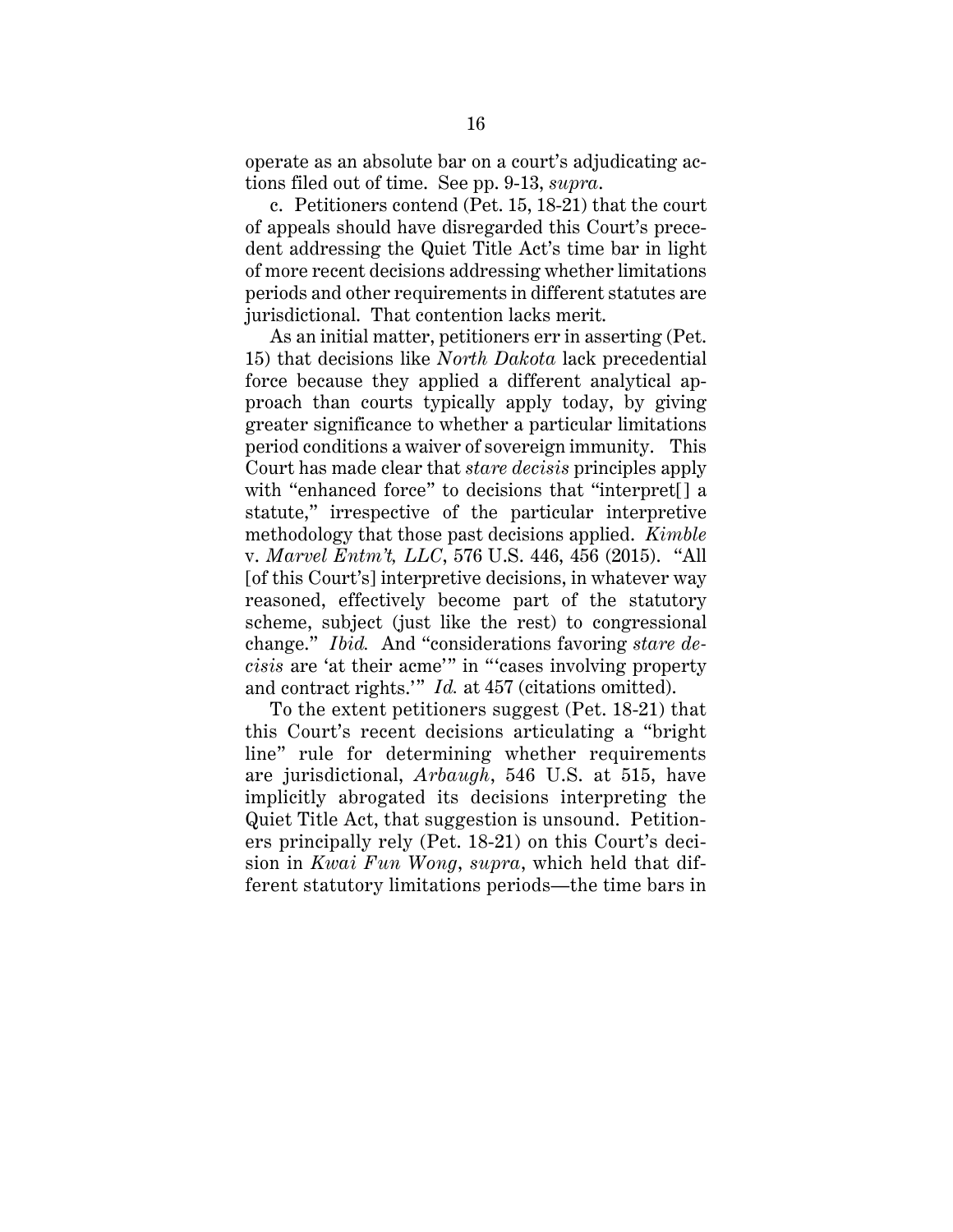operate as an absolute bar on a court's adjudicating actions filed out of time. See pp. 9-13, *supra*.

c. Petitioners contend (Pet. 15, 18-21) that the court of appeals should have disregarded this Court's precedent addressing the Quiet Title Act's time bar in light of more recent decisions addressing whether limitations periods and other requirements in different statutes are jurisdictional. That contention lacks merit.

As an initial matter, petitioners err in asserting (Pet. 15) that decisions like *North Dakota* lack precedential force because they applied a different analytical approach than courts typically apply today, by giving greater significance to whether a particular limitations period conditions a waiver of sovereign immunity. This Court has made clear that *stare decisis* principles apply with "enhanced force" to decisions that "interpret[] a statute," irrespective of the particular interpretive methodology that those past decisions applied. *Kimble*  v. *Marvel Entm't, LLC*, 576 U.S. 446, 456 (2015). "All [of this Court's] interpretive decisions, in whatever way reasoned, effectively become part of the statutory scheme, subject (just like the rest) to congressional change." *Ibid.* And "considerations favoring *stare decisis* are 'at their acme'" in "'cases involving property and contract rights.'" *Id.* at 457 (citations omitted).

To the extent petitioners suggest (Pet. 18-21) that this Court's recent decisions articulating a "bright line" rule for determining whether requirements are jurisdictional, *Arbaugh*, 546 U.S. at 515, have implicitly abrogated its decisions interpreting the Quiet Title Act, that suggestion is unsound. Petitioners principally rely (Pet. 18-21) on this Court's decision in *Kwai Fun Wong*, *supra*, which held that different statutory limitations periods—the time bars in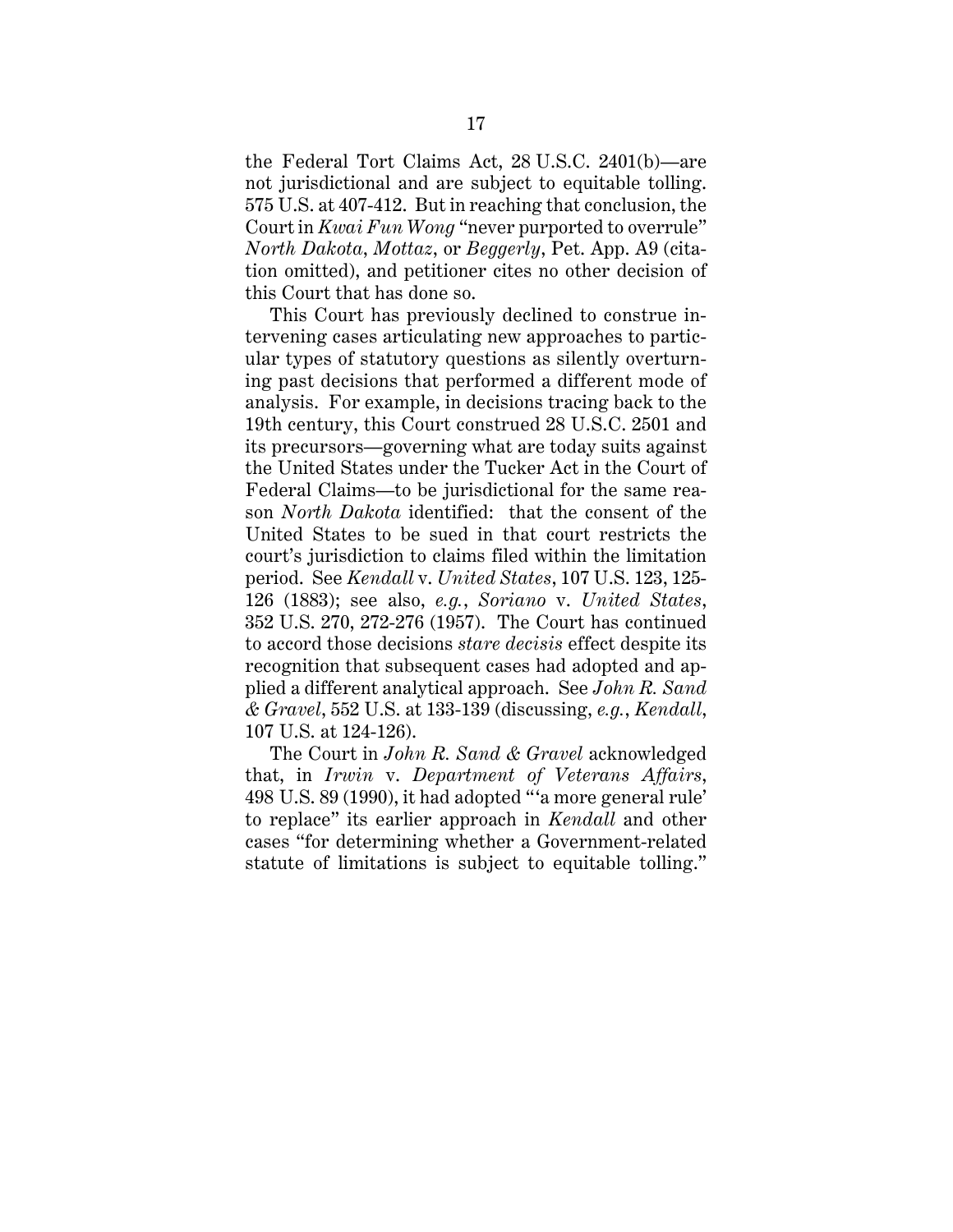the Federal Tort Claims Act, 28 U.S.C. 2401(b)—are not jurisdictional and are subject to equitable tolling. 575 U.S. at 407-412. But in reaching that conclusion, the Court in *Kwai Fun Wong* "never purported to overrule" *North Dakota*, *Mottaz*, or *Beggerly*, Pet. App. A9 (citation omitted), and petitioner cites no other decision of this Court that has done so.

This Court has previously declined to construe intervening cases articulating new approaches to particular types of statutory questions as silently overturning past decisions that performed a different mode of analysis. For example, in decisions tracing back to the 19th century, this Court construed 28 U.S.C. 2501 and its precursors—governing what are today suits against the United States under the Tucker Act in the Court of Federal Claims—to be jurisdictional for the same reason *North Dakota* identified: that the consent of the United States to be sued in that court restricts the court's jurisdiction to claims filed within the limitation period. See *Kendall* v. *United States*, 107 U.S. 123, 125- 126 (1883); see also, *e.g.*, *Soriano* v. *United States*, 352 U.S. 270, 272-276 (1957). The Court has continued to accord those decisions *stare decisis* effect despite its recognition that subsequent cases had adopted and applied a different analytical approach. See *John R. Sand & Gravel*, 552 U.S. at 133-139 (discussing, *e.g.*, *Kendall*, 107 U.S. at 124-126).

The Court in *John R. Sand & Gravel* acknowledged that, in *Irwin* v. *Department of Veterans Affairs*, 498 U.S. 89 (1990), it had adopted "'a more general rule' to replace" its earlier approach in *Kendall* and other cases "for determining whether a Government-related statute of limitations is subject to equitable tolling."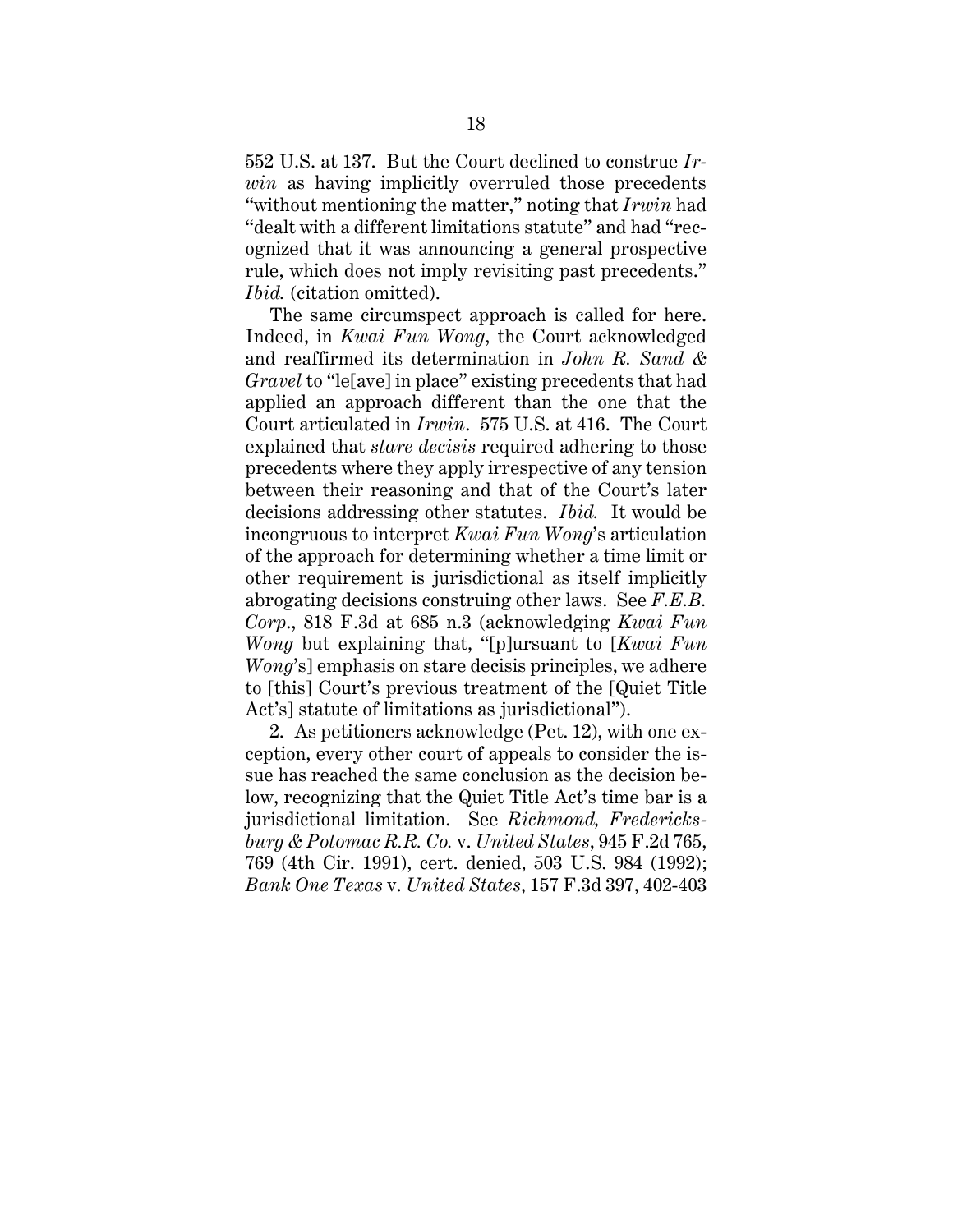552 U.S. at 137. But the Court declined to construe *Irwin* as having implicitly overruled those precedents "without mentioning the matter," noting that *Irwin* had "dealt with a different limitations statute" and had "recognized that it was announcing a general prospective rule, which does not imply revisiting past precedents." *Ibid.* (citation omitted).

The same circumspect approach is called for here. Indeed, in *Kwai Fun Wong*, the Court acknowledged and reaffirmed its determination in *John R. Sand & Gravel* to "le[ave] in place" existing precedents that had applied an approach different than the one that the Court articulated in *Irwin*. 575 U.S. at 416. The Court explained that *stare decisis* required adhering to those precedents where they apply irrespective of any tension between their reasoning and that of the Court's later decisions addressing other statutes. *Ibid.* It would be incongruous to interpret *Kwai Fun Wong*'s articulation of the approach for determining whether a time limit or other requirement is jurisdictional as itself implicitly abrogating decisions construing other laws. See *F.E.B. Corp*., 818 F.3d at 685 n.3 (acknowledging *Kwai Fun Wong* but explaining that, "[p]ursuant to [*Kwai Fun Wong*'s] emphasis on stare decisis principles, we adhere to [this] Court's previous treatment of the [Quiet Title Act's] statute of limitations as jurisdictional").

2. As petitioners acknowledge (Pet. 12), with one exception, every other court of appeals to consider the issue has reached the same conclusion as the decision below, recognizing that the Quiet Title Act's time bar is a jurisdictional limitation. See *Richmond, Fredericksburg & Potomac R.R. Co.* v. *United States*, 945 F.2d 765, 769 (4th Cir. 1991), cert. denied, 503 U.S. 984 (1992); *Bank One Texas* v. *United States*, 157 F.3d 397, 402-403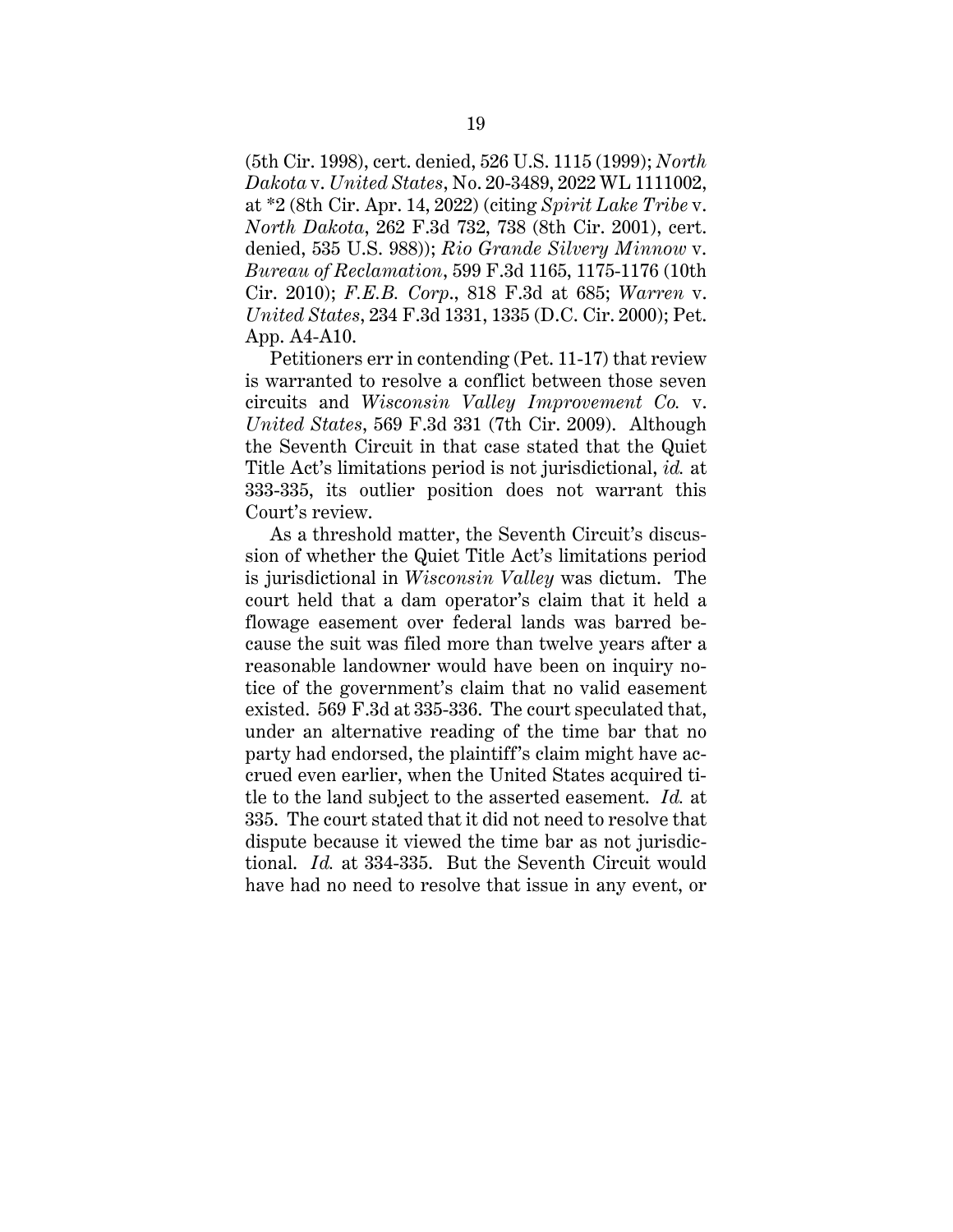(5th Cir. 1998), cert. denied, 526 U.S. 1115 (1999); *North Dakota* v. *United States*, No. 20-3489, 2022 WL 1111002, at \*2 (8th Cir. Apr. 14, 2022) (citing *Spirit Lake Tribe* v. *North Dakota*, 262 F.3d 732, 738 (8th Cir. 2001), cert. denied, 535 U.S. 988)); *Rio Grande Silvery Minnow* v. *Bureau of Reclamation*, 599 F.3d 1165, 1175-1176 (10th Cir. 2010); *F.E.B. Corp*., 818 F.3d at 685; *Warren* v. *United States*, 234 F.3d 1331, 1335 (D.C. Cir. 2000); Pet. App. A4-A10.

Petitioners err in contending (Pet. 11-17) that review is warranted to resolve a conflict between those seven circuits and *Wisconsin Valley Improvement Co.* v. *United States*, 569 F.3d 331 (7th Cir. 2009). Although the Seventh Circuit in that case stated that the Quiet Title Act's limitations period is not jurisdictional, *id.* at 333-335, its outlier position does not warrant this Court's review.

As a threshold matter, the Seventh Circuit's discussion of whether the Quiet Title Act's limitations period is jurisdictional in *Wisconsin Valley* was dictum. The court held that a dam operator's claim that it held a flowage easement over federal lands was barred because the suit was filed more than twelve years after a reasonable landowner would have been on inquiry notice of the government's claim that no valid easement existed. 569 F.3d at 335-336. The court speculated that, under an alternative reading of the time bar that no party had endorsed, the plaintiff's claim might have accrued even earlier, when the United States acquired title to the land subject to the asserted easement. *Id.* at 335. The court stated that it did not need to resolve that dispute because it viewed the time bar as not jurisdictional. *Id.* at 334-335. But the Seventh Circuit would have had no need to resolve that issue in any event, or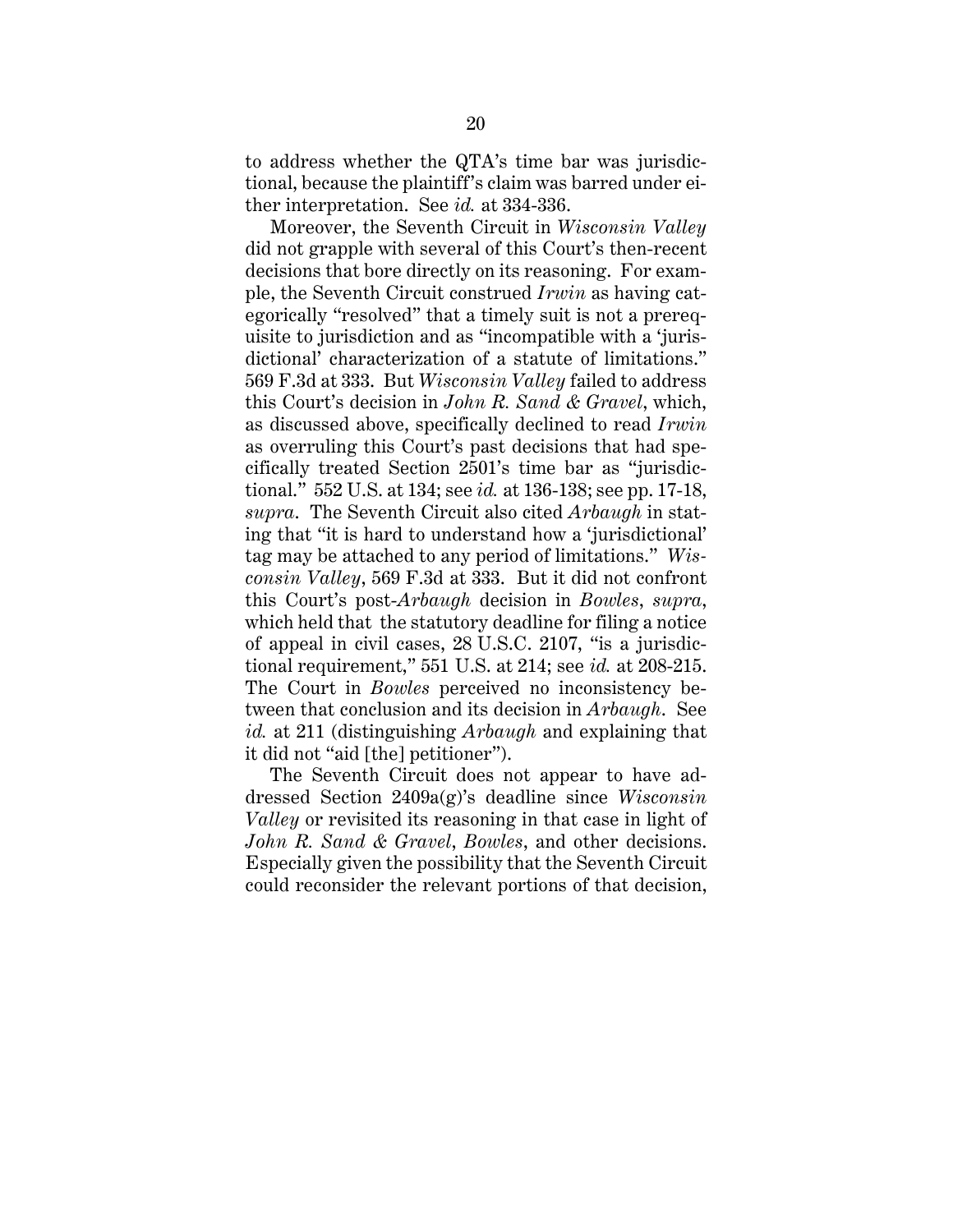to address whether the QTA's time bar was jurisdictional, because the plaintiff's claim was barred under either interpretation. See *id.* at 334-336.

Moreover, the Seventh Circuit in *Wisconsin Valley* did not grapple with several of this Court's then-recent decisions that bore directly on its reasoning. For example, the Seventh Circuit construed *Irwin* as having categorically "resolved" that a timely suit is not a prerequisite to jurisdiction and as "incompatible with a 'jurisdictional' characterization of a statute of limitations." 569 F.3d at 333. But *Wisconsin Valley* failed to address this Court's decision in *John R. Sand & Gravel*, which, as discussed above, specifically declined to read *Irwin* as overruling this Court's past decisions that had specifically treated Section 2501's time bar as "jurisdictional." 552 U.S. at 134; see *id.* at 136-138; see pp. 17-18, *supra*. The Seventh Circuit also cited *Arbaugh* in stating that "it is hard to understand how a 'jurisdictional' tag may be attached to any period of limitations." *Wisconsin Valley*, 569 F.3d at 333. But it did not confront this Court's post-*Arbaugh* decision in *Bowles*, *supra*, which held that the statutory deadline for filing a notice of appeal in civil cases, 28 U.S.C. 2107, "is a jurisdictional requirement," 551 U.S. at 214; see *id.* at 208-215. The Court in *Bowles* perceived no inconsistency between that conclusion and its decision in *Arbaugh*. See *id.* at 211 (distinguishing *Arbaugh* and explaining that it did not "aid [the] petitioner").

The Seventh Circuit does not appear to have addressed Section 2409a(g)'s deadline since *Wisconsin Valley* or revisited its reasoning in that case in light of *John R. Sand & Gravel*, *Bowles*, and other decisions. Especially given the possibility that the Seventh Circuit could reconsider the relevant portions of that decision,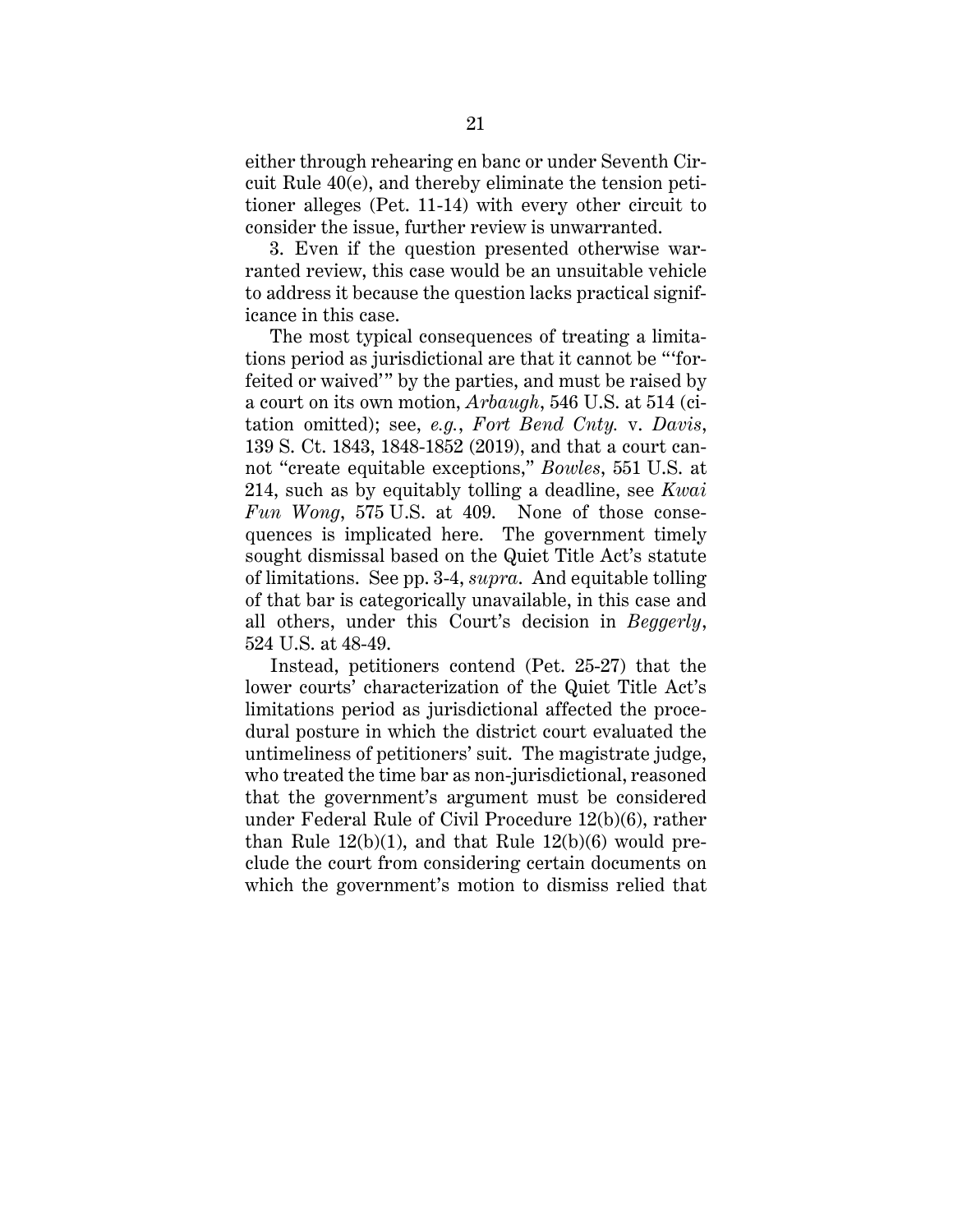either through rehearing en banc or under Seventh Circuit Rule 40(e), and thereby eliminate the tension petitioner alleges (Pet. 11-14) with every other circuit to consider the issue, further review is unwarranted.

3. Even if the question presented otherwise warranted review, this case would be an unsuitable vehicle to address it because the question lacks practical significance in this case.

The most typical consequences of treating a limitations period as jurisdictional are that it cannot be "'forfeited or waived'" by the parties, and must be raised by a court on its own motion, *Arbaugh*, 546 U.S. at 514 (citation omitted); see, *e.g.*, *Fort Bend Cnty.* v. *Davis*, 139 S. Ct. 1843, 1848-1852 (2019), and that a court cannot "create equitable exceptions," *Bowles*, 551 U.S. at 214, such as by equitably tolling a deadline, see *Kwai Fun Wong*, 575 U.S. at 409. None of those consequences is implicated here. The government timely sought dismissal based on the Quiet Title Act's statute of limitations. See pp. 3-4, *supra*. And equitable tolling of that bar is categorically unavailable, in this case and all others, under this Court's decision in *Beggerly*, 524 U.S. at 48-49.

Instead, petitioners contend (Pet. 25-27) that the lower courts' characterization of the Quiet Title Act's limitations period as jurisdictional affected the procedural posture in which the district court evaluated the untimeliness of petitioners' suit. The magistrate judge, who treated the time bar as non-jurisdictional, reasoned that the government's argument must be considered under Federal Rule of Civil Procedure 12(b)(6), rather than Rule  $12(b)(1)$ , and that Rule  $12(b)(6)$  would preclude the court from considering certain documents on which the government's motion to dismiss relied that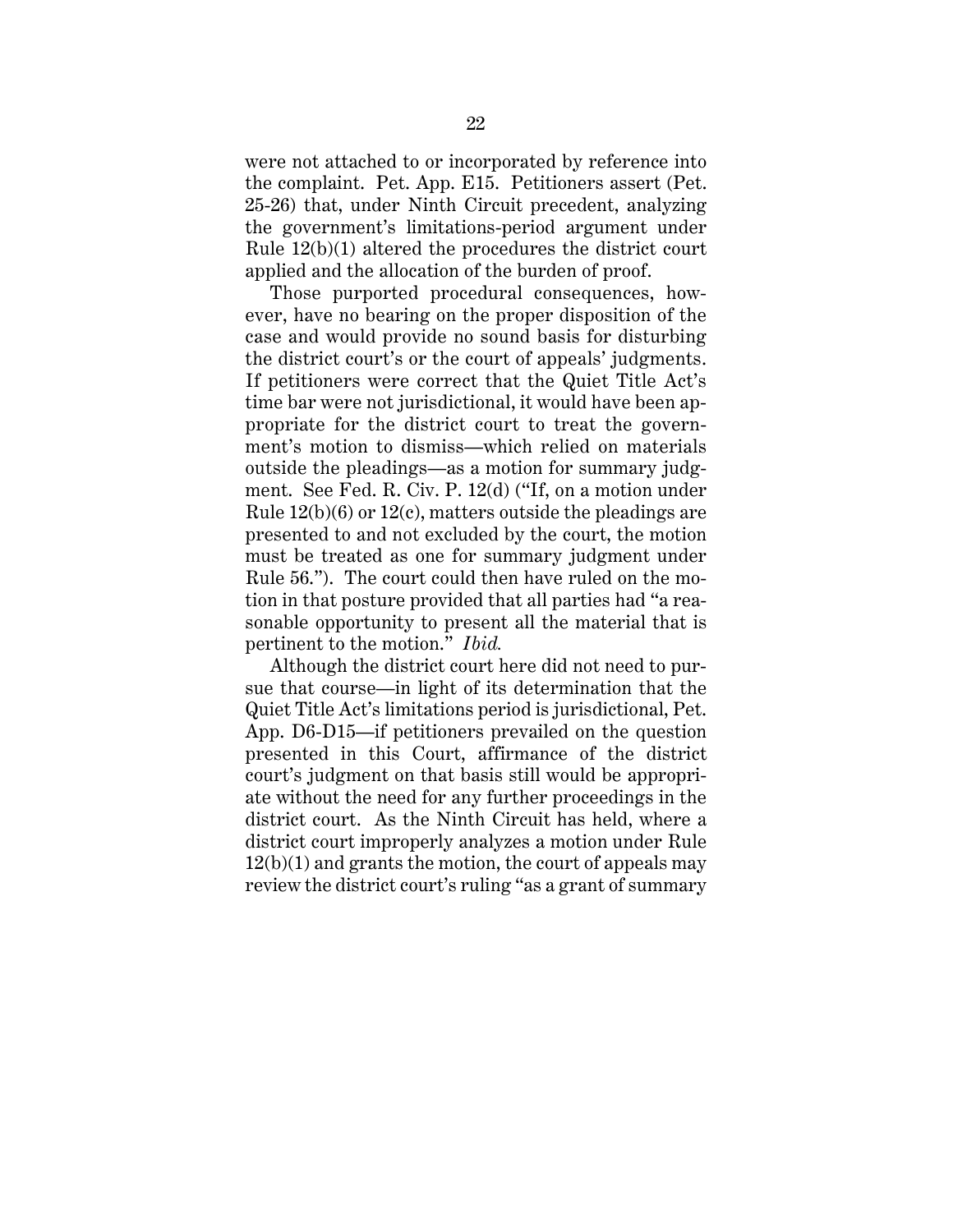were not attached to or incorporated by reference into the complaint. Pet. App. E15. Petitioners assert (Pet. 25-26) that, under Ninth Circuit precedent, analyzing the government's limitations-period argument under Rule 12(b)(1) altered the procedures the district court applied and the allocation of the burden of proof.

Those purported procedural consequences, however, have no bearing on the proper disposition of the case and would provide no sound basis for disturbing the district court's or the court of appeals' judgments. If petitioners were correct that the Quiet Title Act's time bar were not jurisdictional, it would have been appropriate for the district court to treat the government's motion to dismiss—which relied on materials outside the pleadings—as a motion for summary judgment. See Fed. R. Civ. P. 12(d) ("If, on a motion under Rule 12(b)(6) or 12(c), matters outside the pleadings are presented to and not excluded by the court, the motion must be treated as one for summary judgment under Rule 56."). The court could then have ruled on the motion in that posture provided that all parties had "a reasonable opportunity to present all the material that is pertinent to the motion." *Ibid.*

Although the district court here did not need to pursue that course—in light of its determination that the Quiet Title Act's limitations period is jurisdictional, Pet. App. D6-D15—if petitioners prevailed on the question presented in this Court, affirmance of the district court's judgment on that basis still would be appropriate without the need for any further proceedings in the district court. As the Ninth Circuit has held, where a district court improperly analyzes a motion under Rule  $12(b)(1)$  and grants the motion, the court of appeals may review the district court's ruling "as a grant of summary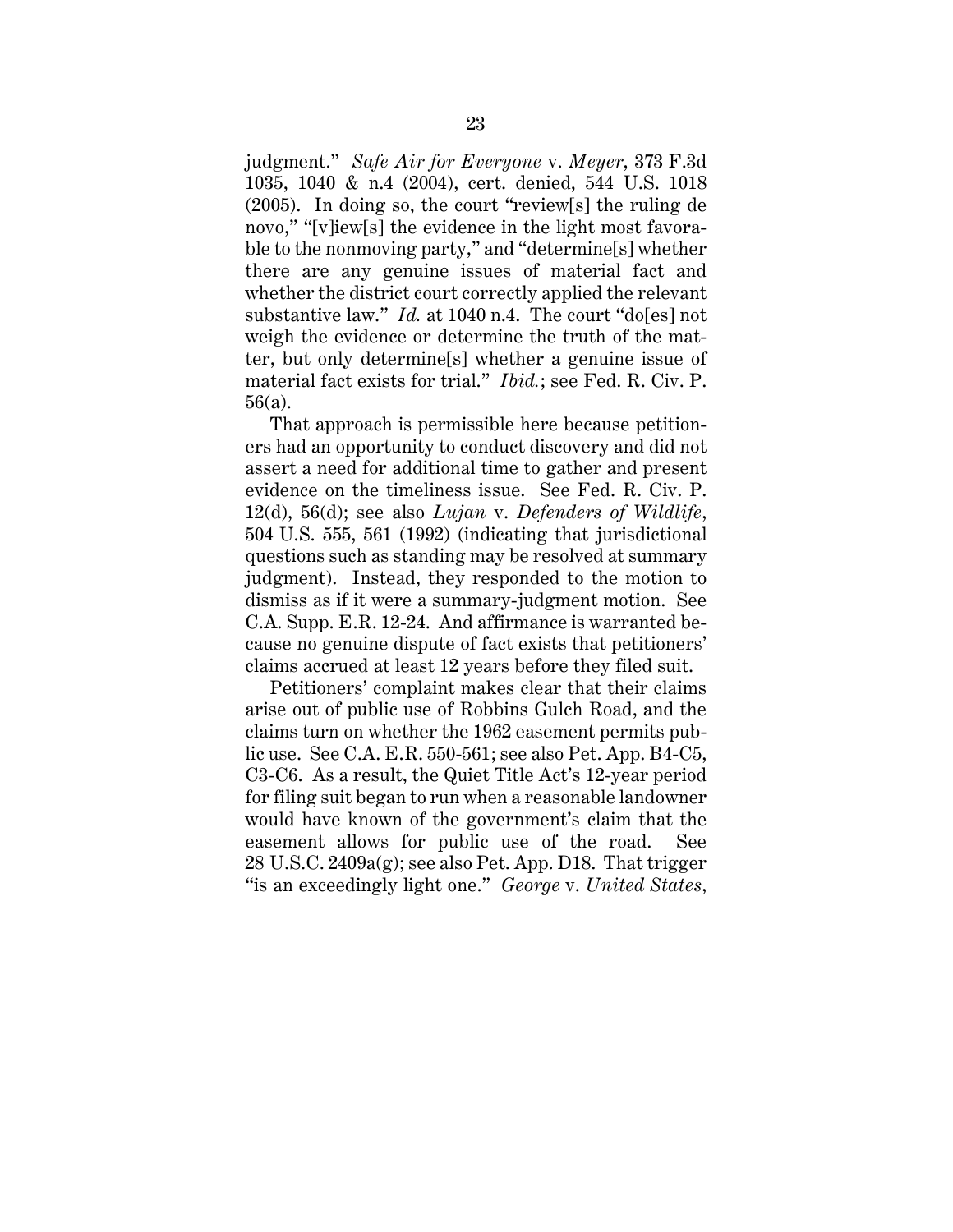judgment." *Safe Air for Everyone* v. *Meyer*, 373 F.3d 1035, 1040 & n.4 (2004), cert. denied, 544 U.S. 1018 (2005). In doing so, the court "review[s] the ruling de novo," "[v]iew[s] the evidence in the light most favorable to the nonmoving party," and "determine[s] whether there are any genuine issues of material fact and whether the district court correctly applied the relevant substantive law." *Id.* at 1040 n.4. The court "do[es] not weigh the evidence or determine the truth of the matter, but only determine[s] whether a genuine issue of material fact exists for trial." *Ibid.*; see Fed. R. Civ. P. 56(a).

That approach is permissible here because petitioners had an opportunity to conduct discovery and did not assert a need for additional time to gather and present evidence on the timeliness issue. See Fed. R. Civ. P. 12(d), 56(d); see also *Lujan* v. *Defenders of Wildlife*, 504 U.S. 555, 561 (1992) (indicating that jurisdictional questions such as standing may be resolved at summary judgment). Instead, they responded to the motion to dismiss as if it were a summary-judgment motion. See C.A. Supp. E.R. 12-24. And affirmance is warranted because no genuine dispute of fact exists that petitioners' claims accrued at least 12 years before they filed suit.

Petitioners' complaint makes clear that their claims arise out of public use of Robbins Gulch Road, and the claims turn on whether the 1962 easement permits public use. See C.A. E.R. 550-561; see also Pet. App. B4-C5, C3-C6. As a result, the Quiet Title Act's 12-year period for filing suit began to run when a reasonable landowner would have known of the government's claim that the easement allows for public use of the road. See 28 U.S.C. 2409a(g); see also Pet. App. D18. That trigger "is an exceedingly light one." *George* v. *United States*,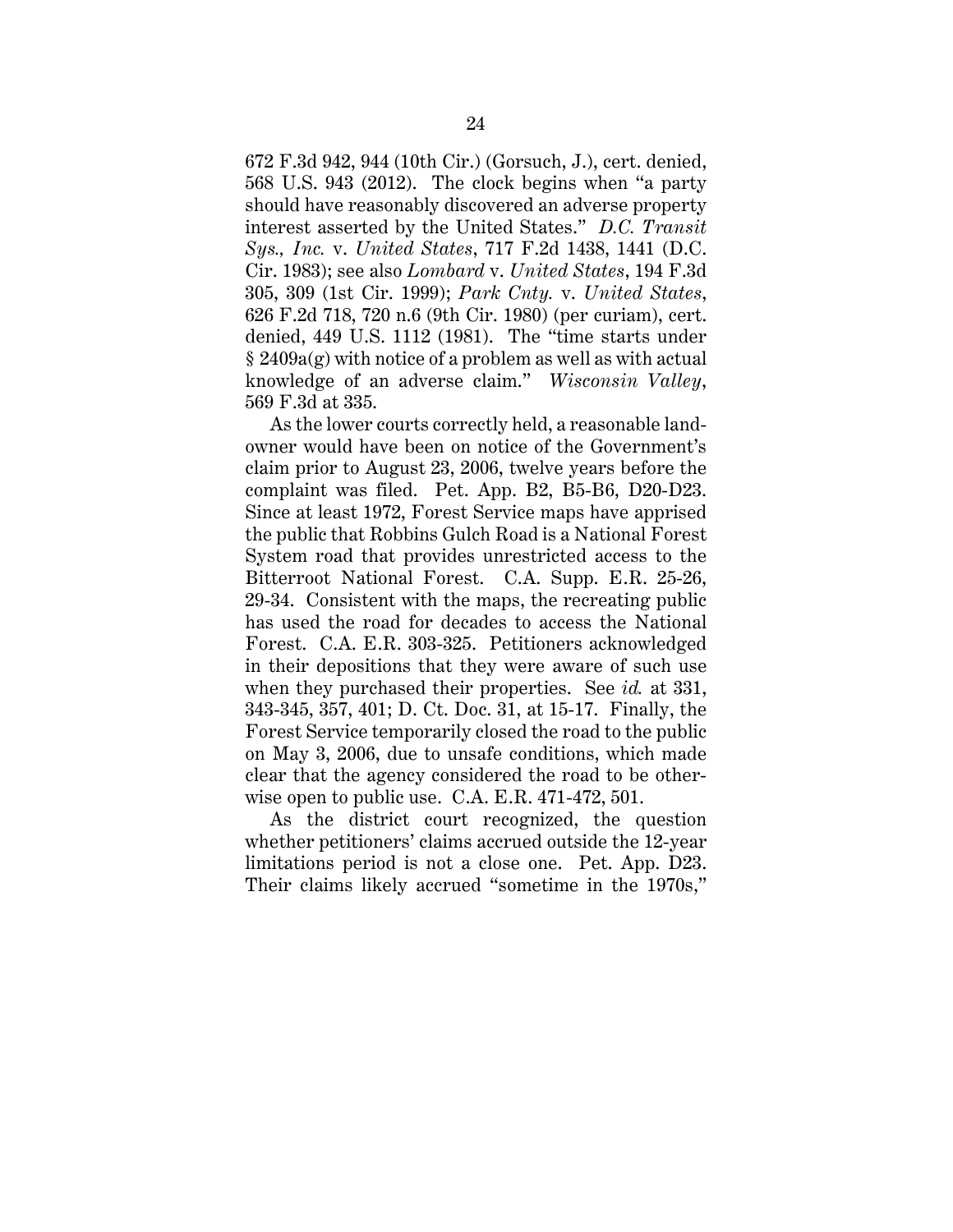672 F.3d 942, 944 (10th Cir.) (Gorsuch, J.), cert. denied, 568 U.S. 943 (2012). The clock begins when "a party should have reasonably discovered an adverse property interest asserted by the United States." *D.C. Transit Sys., Inc.* v. *United States*, 717 F.2d 1438, 1441 (D.C. Cir. 1983); see also *Lombard* v. *United States*, 194 F.3d 305, 309 (1st Cir. 1999); *Park Cnty.* v. *United States*, 626 F.2d 718, 720 n.6 (9th Cir. 1980) (per curiam), cert. denied, 449 U.S. 1112 (1981). The "time starts under § 2409a(g) with notice of a problem as well as with actual knowledge of an adverse claim." *Wisconsin Valley*, 569 F.3d at 335.

As the lower courts correctly held, a reasonable landowner would have been on notice of the Government's claim prior to August 23, 2006, twelve years before the complaint was filed. Pet. App. B2, B5-B6, D20-D23. Since at least 1972, Forest Service maps have apprised the public that Robbins Gulch Road is a National Forest System road that provides unrestricted access to the Bitterroot National Forest. C.A. Supp. E.R. 25-26, 29-34. Consistent with the maps, the recreating public has used the road for decades to access the National Forest. C.A. E.R. 303-325. Petitioners acknowledged in their depositions that they were aware of such use when they purchased their properties. See *id.* at 331, 343-345, 357, 401; D. Ct. Doc. 31, at 15-17. Finally, the Forest Service temporarily closed the road to the public on May 3, 2006, due to unsafe conditions, which made clear that the agency considered the road to be otherwise open to public use. C.A. E.R. 471-472, 501.

As the district court recognized, the question whether petitioners' claims accrued outside the 12-year limitations period is not a close one. Pet. App. D23. Their claims likely accrued "sometime in the 1970s,"